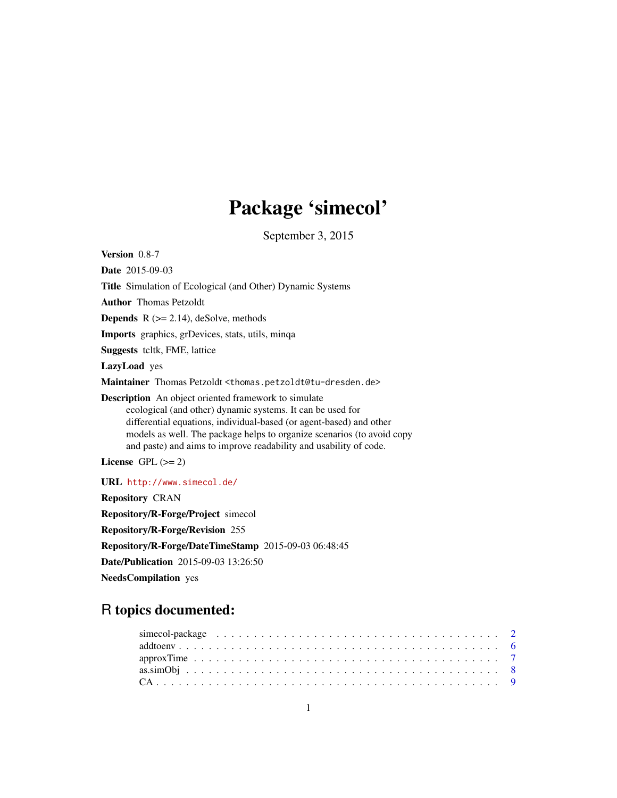# Package 'simecol'

September 3, 2015

<span id="page-0-0"></span>Version 0.8-7 Date 2015-09-03 Title Simulation of Ecological (and Other) Dynamic Systems Author Thomas Petzoldt **Depends**  $R$  ( $>= 2.14$ ), deSolve, methods Imports graphics, grDevices, stats, utils, minqa Suggests tcltk, FME, lattice LazyLoad yes Maintainer Thomas Petzoldt <thomas.petzoldt@tu-dresden.de> Description An object oriented framework to simulate ecological (and other) dynamic systems. It can be used for differential equations, individual-based (or agent-based) and other models as well. The package helps to organize scenarios (to avoid copy and paste) and aims to improve readability and usability of code. License GPL  $(>= 2)$ URL <http://www.simecol.de/> Repository CRAN Repository/R-Forge/Project simecol Repository/R-Forge/Revision 255 Repository/R-Forge/DateTimeStamp 2015-09-03 06:48:45 Date/Publication 2015-09-03 13:26:50

NeedsCompilation yes

# R topics documented: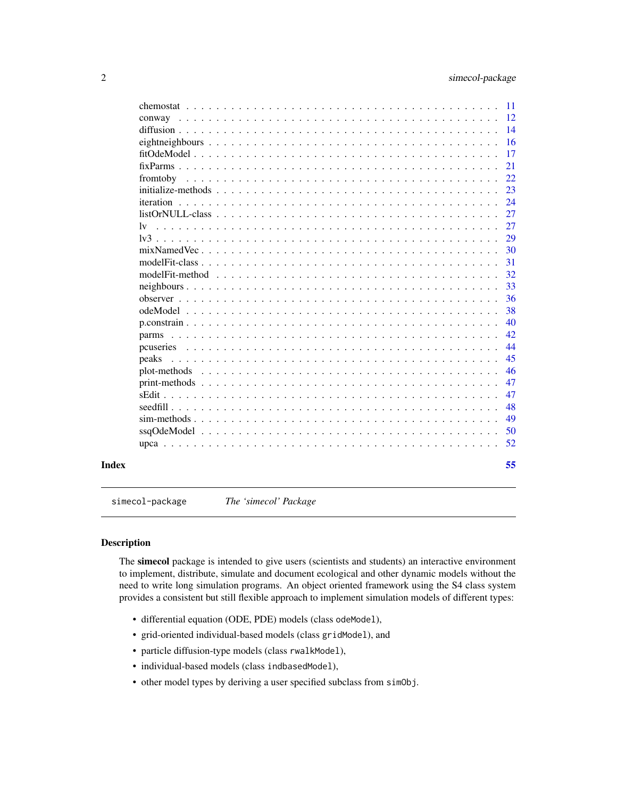<span id="page-1-0"></span>

| 47<br>47<br>48<br>49<br>50<br>52                                                                                                                                                                                                                                                |
|---------------------------------------------------------------------------------------------------------------------------------------------------------------------------------------------------------------------------------------------------------------------------------|
|                                                                                                                                                                                                                                                                                 |
|                                                                                                                                                                                                                                                                                 |
|                                                                                                                                                                                                                                                                                 |
|                                                                                                                                                                                                                                                                                 |
|                                                                                                                                                                                                                                                                                 |
|                                                                                                                                                                                                                                                                                 |
| 46                                                                                                                                                                                                                                                                              |
| 45                                                                                                                                                                                                                                                                              |
| 44                                                                                                                                                                                                                                                                              |
| 42                                                                                                                                                                                                                                                                              |
| 40                                                                                                                                                                                                                                                                              |
| 38                                                                                                                                                                                                                                                                              |
| 36                                                                                                                                                                                                                                                                              |
| 33                                                                                                                                                                                                                                                                              |
| 32                                                                                                                                                                                                                                                                              |
| 31                                                                                                                                                                                                                                                                              |
| 30                                                                                                                                                                                                                                                                              |
| 29                                                                                                                                                                                                                                                                              |
| 27                                                                                                                                                                                                                                                                              |
| 27                                                                                                                                                                                                                                                                              |
| 24                                                                                                                                                                                                                                                                              |
| 23                                                                                                                                                                                                                                                                              |
| 22                                                                                                                                                                                                                                                                              |
| 21                                                                                                                                                                                                                                                                              |
| 17                                                                                                                                                                                                                                                                              |
| 16                                                                                                                                                                                                                                                                              |
| 14                                                                                                                                                                                                                                                                              |
| $-11$<br>-12                                                                                                                                                                                                                                                                    |
| $listOrNULL-class \dots \dots \dots \dots \dots \dots \dots \dots \dots \dots \dots \dots \dots \dots \dots \dots$<br>1v<br>peaks<br>plot-methods $\ldots$ $\ldots$ $\ldots$ $\ldots$ $\ldots$ $\ldots$ $\ldots$ $\ldots$ $\ldots$ $\ldots$ $\ldots$ $\ldots$ $\ldots$ $\ldots$ |

<span id="page-1-1"></span>simecol-package *The 'simecol' Package*

# <span id="page-1-2"></span>Description

The simecol package is intended to give users (scientists and students) an interactive environment to implement, distribute, simulate and document ecological and other dynamic models without the need to write long simulation programs. An object oriented framework using the S4 class system provides a consistent but still flexible approach to implement simulation models of different types:

- differential equation (ODE, PDE) models (class odeModel),
- grid-oriented individual-based models (class gridModel), and
- particle diffusion-type models (class rwalkModel),
- individual-based models (class indbasedModel),
- other model types by deriving a user specified subclass from simObj.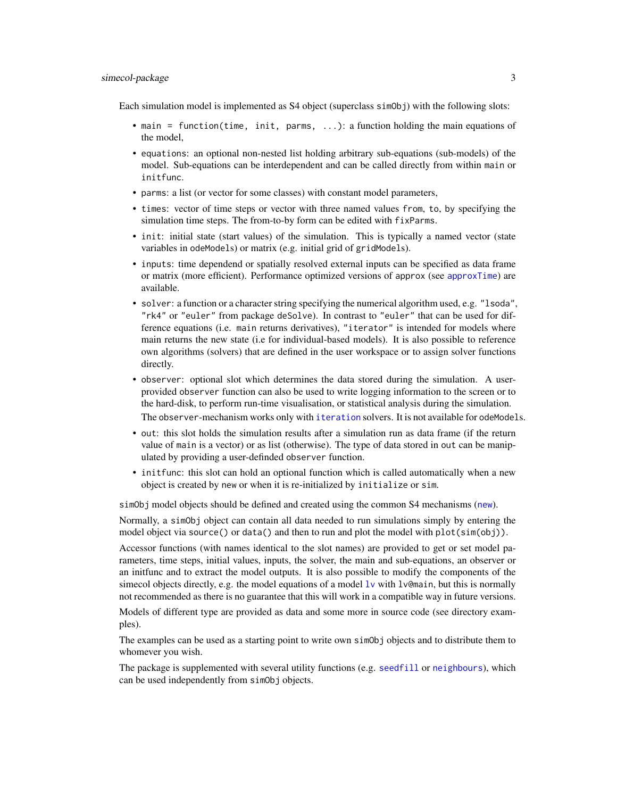<span id="page-2-0"></span>Each simulation model is implemented as S4 object (superclass simoloj) with the following slots:

- main = function(time, init, parms, ...): a function holding the main equations of the model,
- equations: an optional non-nested list holding arbitrary sub-equations (sub-models) of the model. Sub-equations can be interdependent and can be called directly from within main or initfunc.
- parms: a list (or vector for some classes) with constant model parameters,
- times: vector of time steps or vector with three named values from, to, by specifying the simulation time steps. The from-to-by form can be edited with fixParms.
- initial state (start values) of the simulation. This is typically a named vector (state variables in odeModels) or matrix (e.g. initial grid of gridModels).
- inputs: time dependend or spatially resolved external inputs can be specified as data frame or matrix (more efficient). Performance optimized versions of approx (see [approxTime](#page-6-1)) are available.
- solver: a function or a character string specifying the numerical algorithm used, e.g. "lsoda", "rk4" or "euler" from package deSolve). In contrast to "euler" that can be used for difference equations (i.e. main returns derivatives), "iterator" is intended for models where main returns the new state (i.e for individual-based models). It is also possible to reference own algorithms (solvers) that are defined in the user workspace or to assign solver functions directly.
- observer: optional slot which determines the data stored during the simulation. A userprovided observer function can also be used to write logging information to the screen or to the hard-disk, to perform run-time visualisation, or statistical analysis during the simulation. The observer-mechanism works only with [iteration](#page-23-1) solvers. It is not available for odeModels.
- out: this slot holds the simulation results after a simulation run as data frame (if the return value of main is a vector) or as list (otherwise). The type of data stored in out can be manipulated by providing a user-definded observer function.
- initfunc: this slot can hold an optional function which is called automatically when a new object is created by new or when it is re-initialized by initialize or sim.

simObj model objects should be defined and created using the common S4 mechanisms ([new](#page-0-0)).

Normally, a simObj object can contain all data needed to run simulations simply by entering the model object via source() or data() and then to run and plot the model with plot(sim(obj)).

Accessor functions (with names identical to the slot names) are provided to get or set model parameters, time steps, initial values, inputs, the solver, the main and sub-equations, an observer or an initfunc and to extract the model outputs. It is also possible to modify the components of the simecol objects directly, e.g. the model equations of a model  $1\nu$  with  $1\nu$ @main, but this is normally not recommended as there is no guarantee that this will work in a compatible way in future versions.

Models of different type are provided as data and some more in source code (see directory examples).

The examples can be used as a starting point to write own simObj objects and to distribute them to whomever you wish.

The package is supplemented with several utility functions (e.g. [seedfill](#page-47-1) or [neighbours](#page-32-1)), which can be used independently from simObj objects.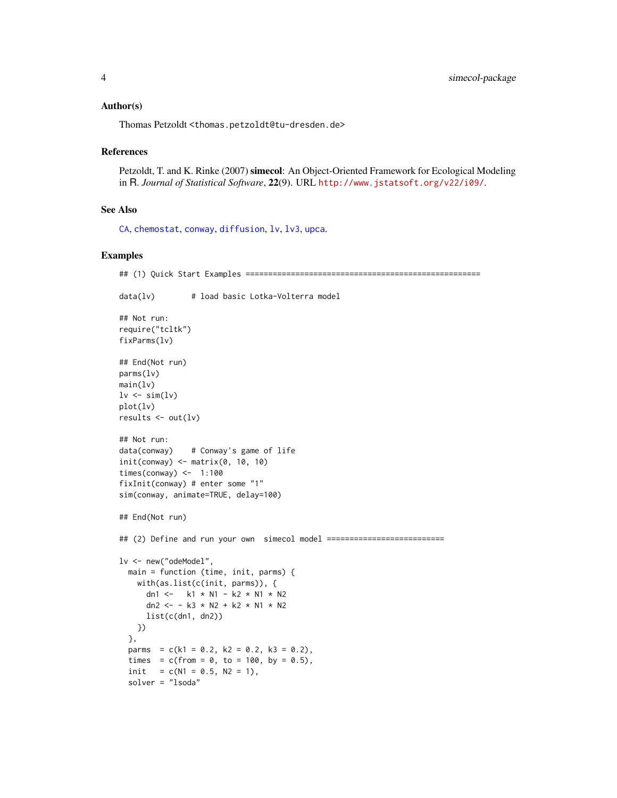#### <span id="page-3-0"></span>Author(s)

Thomas Petzoldt <thomas.petzoldt@tu-dresden.de>

#### References

Petzoldt, T. and K. Rinke (2007) simecol: An Object-Oriented Framework for Ecological Modeling in R. *Journal of Statistical Software*, 22(9). URL <http://www.jstatsoft.org/v22/i09/>.

#### See Also

[CA](#page-8-1), [chemostat](#page-10-1), [conway](#page-11-1), [diffusion](#page-13-1), [lv](#page-26-1), [lv3](#page-28-1), [upca](#page-51-1).

```
## (1) Quick Start Examples ====================================================
data(lv) # load basic Lotka-Volterra model
## Not run:
require("tcltk")
fixParms(lv)
## End(Not run)
parms(lv)
main(lv)
lv \leftarrow sim(lv)plot(lv)
results \leq out(lv)
## Not run:
data(conway) # Conway's game of life
init(convay) \leftarrow matrix(0, 10, 10)times(conway) \leq -1:100fixInit(conway) # enter some "1"
sim(conway, animate=TRUE, delay=100)
## End(Not run)
## (2) Define and run your own simecol model ===========================
lv <- new("odeModel",
  main = function (time, init, parms) {
   with(as.list(c(init, parms)), {
      dn1 <- k1 * N1 - k2 * N1 * N2
      dn2 <- - k3 * N2 + k2 * N1 * N2
     list(c(dn1, dn2))
   })
  },
  parms = c(k1 = 0.2, k2 = 0.2, k3 = 0.2),
  times = c(from = 0, to = 100, by = 0.5),
  init = c(N1 = 0.5, N2 = 1),
  solver = "lsoda"
```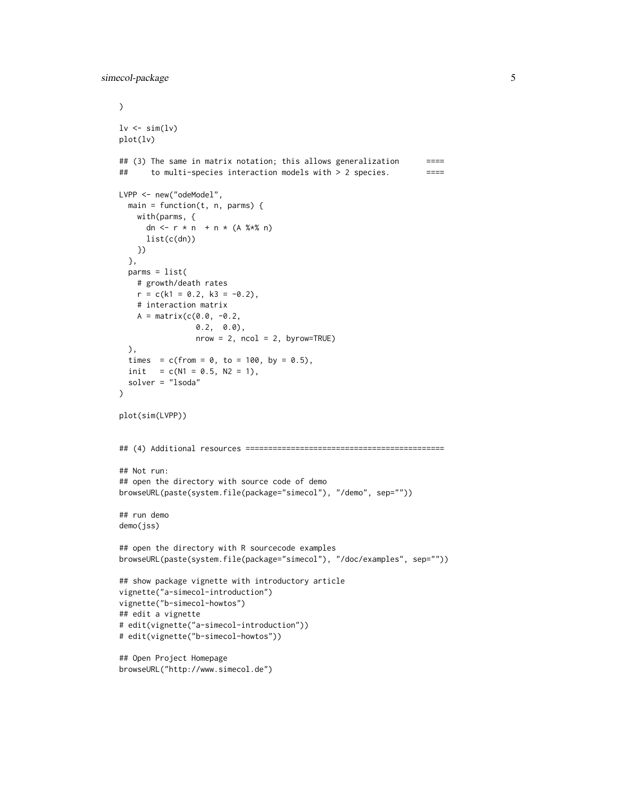```
\mathcal{L}lv \leftarrow sim(lv)plot(lv)
## (3) The same in matrix notation; this allows generalization ====
## to multi-species interaction models with > 2 species. =====
LVPP <- new("odeModel",
  main = function(t, n, parms) {
   with(parms, {
      dn <- r * n + n * (A %*)list(c(dn))
   })
  },
  parms = list(
   # growth/death rates
   r = c(k1 = 0.2, k3 = -0.2),
   # interaction matrix
   A = matrix(c(0.0, -0.2,0.2, 0.0),
                 nrow = 2, ncol = 2, byrow=True),
  times = c(from = 0, to = 100, by = 0.5),
  init = c(N1 = 0.5, N2 = 1),
  solver = "lsoda"
\lambdaplot(sim(LVPP))
## (4) Additional resources ============================================
## Not run:
## open the directory with source code of demo
browseURL(paste(system.file(package="simecol"), "/demo", sep=""))
## run demo
demo(jss)
## open the directory with R sourcecode examples
browseURL(paste(system.file(package="simecol"), "/doc/examples", sep=""))
## show package vignette with introductory article
vignette("a-simecol-introduction")
vignette("b-simecol-howtos")
## edit a vignette
# edit(vignette("a-simecol-introduction"))
# edit(vignette("b-simecol-howtos"))
## Open Project Homepage
browseURL("http://www.simecol.de")
```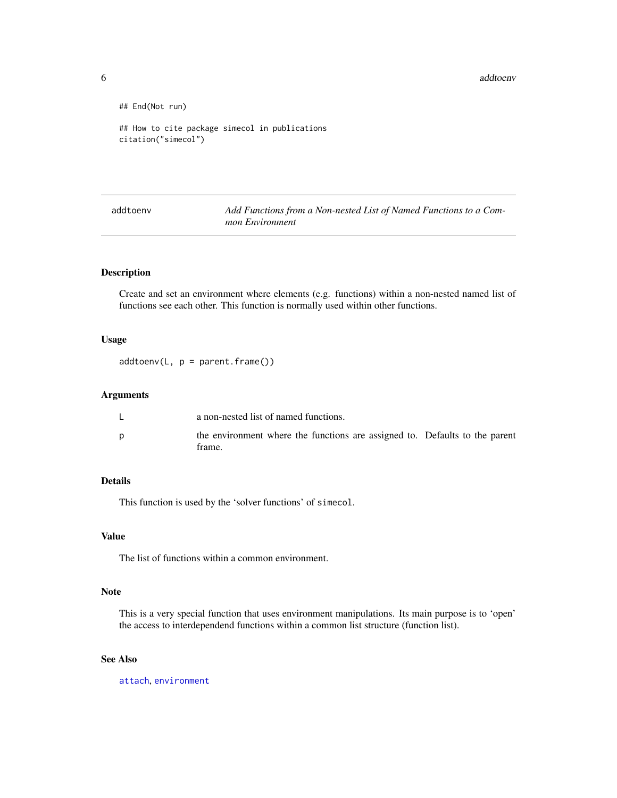<span id="page-5-0"></span>6 addtoenvalue of the contract of the contract of the contract of the contract of the contract of the contract of the contract of the contract of the contract of the contract of the contract of the contract of the contract

```
## End(Not run)
## How to cite package simecol in publications
citation("simecol")
```
addtoenv *Add Functions from a Non-nested List of Named Functions to a Common Environment*

# Description

Create and set an environment where elements (e.g. functions) within a non-nested named list of functions see each other. This function is normally used within other functions.

#### Usage

 $addtoenv(L, p = parent-frame())$ 

# Arguments

| ┕ | a non-nested list of named functions.                                                 |  |
|---|---------------------------------------------------------------------------------------|--|
|   | the environment where the functions are assigned to. Defaults to the parent<br>frame. |  |

# Details

This function is used by the 'solver functions' of simecol.

### Value

The list of functions within a common environment.

# Note

This is a very special function that uses environment manipulations. Its main purpose is to 'open' the access to interdependend functions within a common list structure (function list).

# See Also

[attach](#page-0-0), [environment](#page-0-0)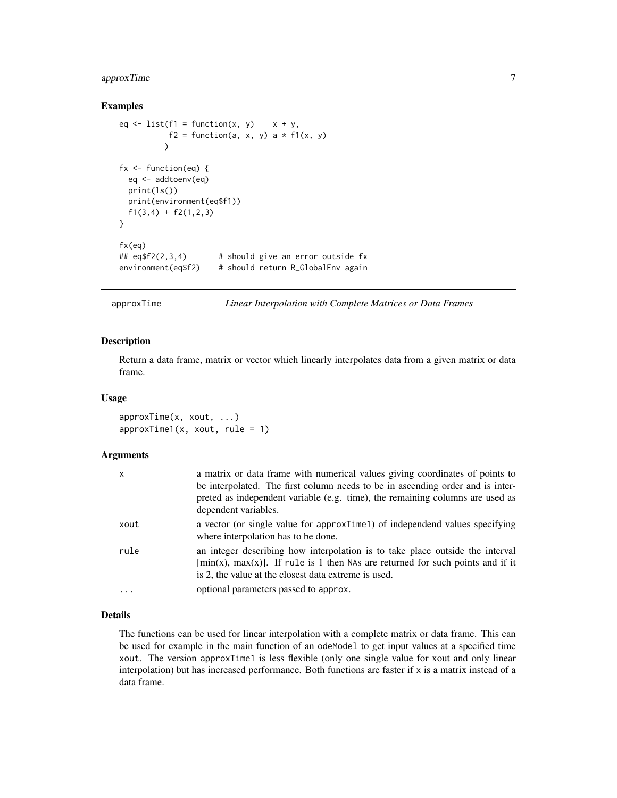# <span id="page-6-0"></span>approxTime 7

#### Examples

```
eq \le list(f1 = function(x, y) x + y,
          f2 = function(a, x, y) a * f1(x, y))
fx \leftarrow function(eq)eq <- addtoenv(eq)
 print(ls())
 print(environment(eq$f1))
 f1(3,4) + f2(1,2,3)}
fx(eq)
## eq$f2(2,3,4) # should give an error outside fxenvironment(eq$f2) # should return R_GlobalEnv again
```
<span id="page-6-1"></span>approxTime *Linear Interpolation with Complete Matrices or Data Frames*

#### Description

Return a data frame, matrix or vector which linearly interpolates data from a given matrix or data frame.

#### Usage

approxTime(x, xout, ...)  $approxTime1(x, xout, rule = 1)$ 

# Arguments

| x        | a matrix or data frame with numerical values giving coordinates of points to<br>be interpolated. The first column needs to be in ascending order and is inter-<br>preted as independent variable (e.g. time), the remaining columns are used as<br>dependent variables. |
|----------|-------------------------------------------------------------------------------------------------------------------------------------------------------------------------------------------------------------------------------------------------------------------------|
| xout     | a vector (or single value for approxTime1) of independend values specifying<br>where interpolation has to be done.                                                                                                                                                      |
| rule     | an integer describing how interpolation is to take place outside the interval<br>$[\min(x), \max(x)]$ . If rule is 1 then NAs are returned for such points and if it<br>is 2, the value at the closest data extreme is used.                                            |
| $\cdots$ | optional parameters passed to approx.                                                                                                                                                                                                                                   |

# Details

The functions can be used for linear interpolation with a complete matrix or data frame. This can be used for example in the main function of an odeModel to get input values at a specified time xout. The version approxTime1 is less flexible (only one single value for xout and only linear interpolation) but has increased performance. Both functions are faster if  $x$  is a matrix instead of a data frame.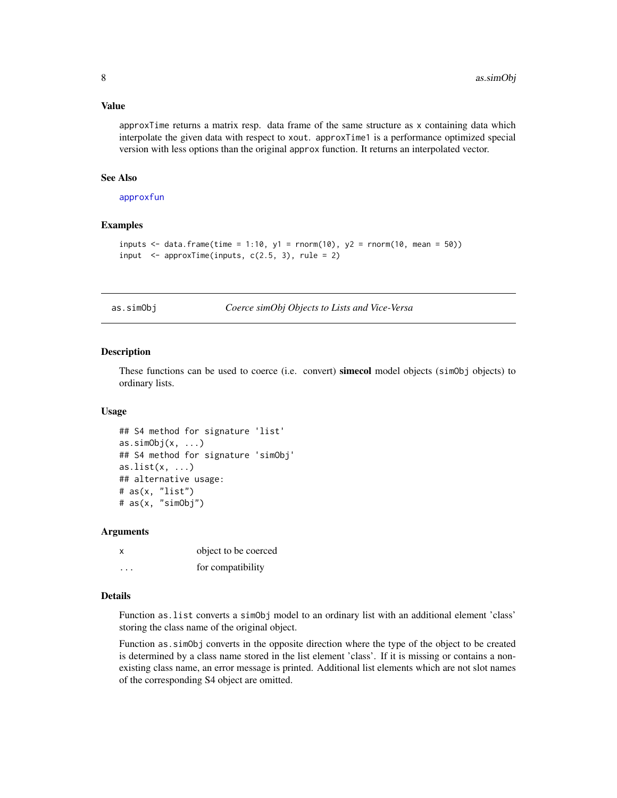#### <span id="page-7-0"></span>Value

approxTime returns a matrix resp. data frame of the same structure as x containing data which interpolate the given data with respect to xout. approxTime1 is a performance optimized special version with less options than the original approx function. It returns an interpolated vector.

# See Also

[approxfun](#page-0-0)

#### Examples

```
inputs \leq data.frame(time = 1:10, y1 = rnorm(10), y2 = rnorm(10, mean = 50))
input \leq approxTime(inputs, c(2.5, 3), rule = 2)
```
as.simObj *Coerce simObj Objects to Lists and Vice-Versa*

#### Description

These functions can be used to coerce (i.e. convert) simecol model objects (simObj objects) to ordinary lists.

#### Usage

```
## S4 method for signature 'list'
as.simObj(x, \ldots)## S4 method for signature 'simObj'
as.list(x, \ldots)## alternative usage:
# as(x, "list")
# as(x, "simObj")
```
#### Arguments

| x | object to be coerced |
|---|----------------------|
| . | for compatibility    |

#### Details

Function as.list converts a simObj model to an ordinary list with an additional element 'class' storing the class name of the original object.

Function as.simObj converts in the opposite direction where the type of the object to be created is determined by a class name stored in the list element 'class'. If it is missing or contains a nonexisting class name, an error message is printed. Additional list elements which are not slot names of the corresponding S4 object are omitted.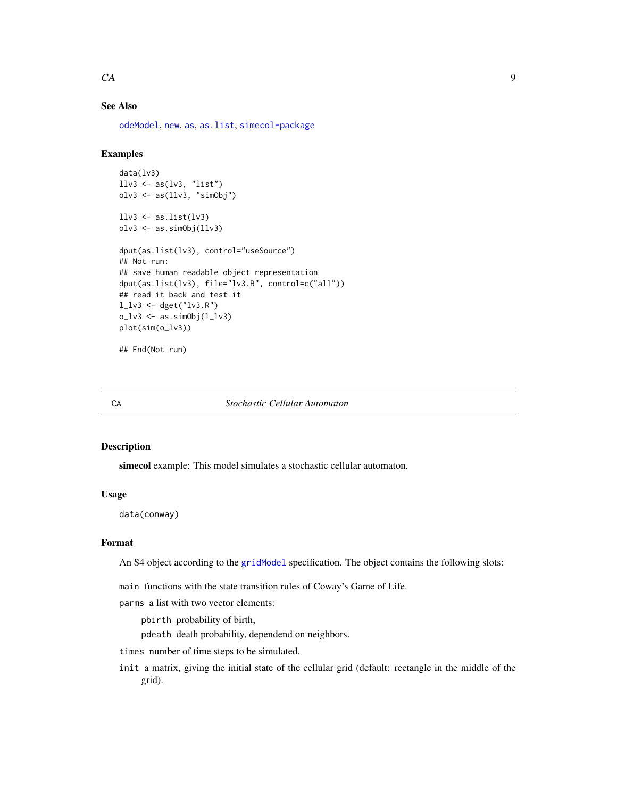#### <span id="page-8-0"></span> $CA$  9

# See Also

[odeModel](#page-37-1), [new](#page-0-0), [as](#page-0-0), [as.list](#page-0-0), [simecol-package](#page-1-1)

# Examples

```
data(lv3)
llv3 \leftarrow as(lv3, "list")olv3 <- as(llv3, "simObj")
llv3 \leftarrow as.list(lv3)olv3 <- as.simObj(llv3)
dput(as.list(lv3), control="useSource")
## Not run:
## save human readable object representation
dput(as.list(lv3), file="lv3.R", control=c("all"))
## read it back and test it
l_{1}v3 < - dget("lv3.R")
o_l v3 \leftarrow as.simObj(l_l v3)plot(sim(o_lv3))
```
## End(Not run)

<span id="page-8-1"></span>

#### CA *Stochastic Cellular Automaton*

#### Description

simecol example: This model simulates a stochastic cellular automaton.

#### Usage

data(conway)

# Format

An S4 object according to the [gridModel](#page-37-2) specification. The object contains the following slots:

main functions with the state transition rules of Coway's Game of Life.

parms a list with two vector elements:

pbirth probability of birth,

pdeath death probability, dependend on neighbors.

times number of time steps to be simulated.

init a matrix, giving the initial state of the cellular grid (default: rectangle in the middle of the grid).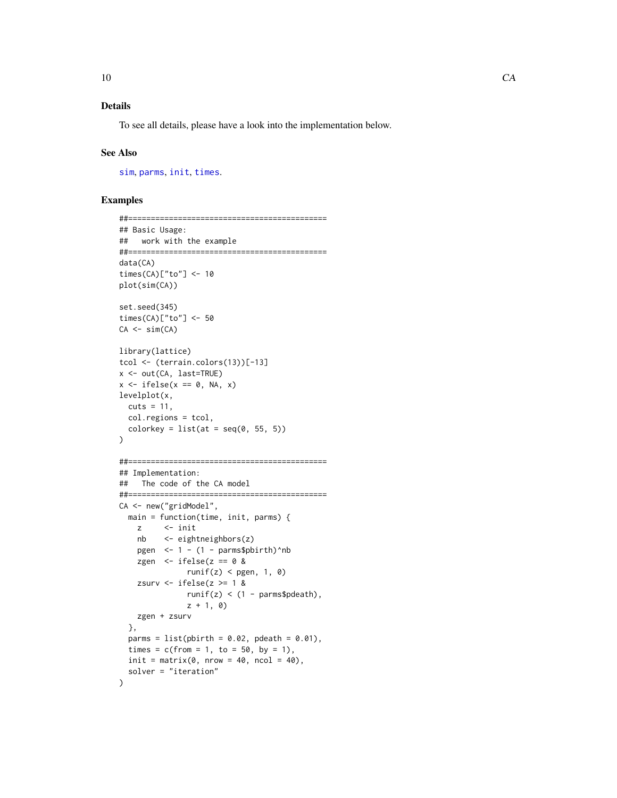# <span id="page-9-0"></span>Details

To see all details, please have a look into the implementation below.

#### See Also

[sim](#page-48-1), [parms](#page-41-1), [init](#page-41-2), [times](#page-41-2).

```
##============================================
## Basic Usage:
## work with the example
##============================================
data(CA)
times(CA)["to"] <- 10
plot(sim(CA))
set.seed(345)
times(CA)["to"] <- 50
CA \le -\sin(CA)library(lattice)
tcol <- (terrain.colors(13))[-13]
x <- out(CA, last=TRUE)
x \leftarrow ifelse(x == 0, NA, x)
levelplot(x,
 cuts = 11,
 col.regions = tcol,
  colorkey = list(at = seq(0, 55, 5))\mathcal{L}##============================================
## Implementation:
## The code of the CA model
##============================================
CA <- new("gridModel",
  main = function(time, init, parms) {
    z <- init
    nb <- eightneighbors(z)
    pgen \leq -1 - (1 - \text{params$pbirth)}^nb
    zgen \le ifelse(z == 0 &
              runif(z) < pgen, 1, 0)
    zsurv \le ifelse(z \ge 1 &
               runif(z) < (1 - \text{params}\pdeath),
               z + 1, 0)zgen + zsurv
  },
  parms = list(pbirth = 0.02, pdeath = 0.01),
  times = c(from = 1, to = 50, by = 1),
  init = matrix(0, nrow = 40, ncol = 40),
  solver = "iteration"
)
```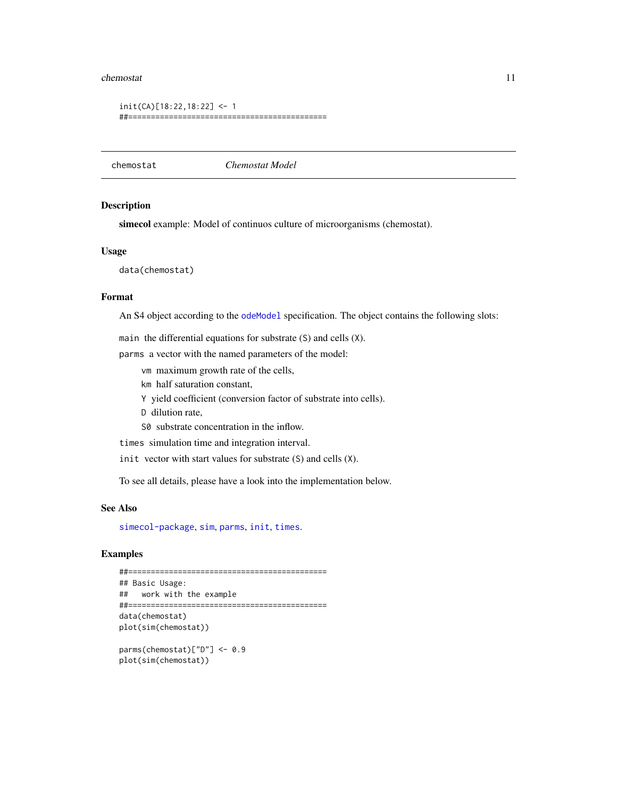#### <span id="page-10-0"></span>chemostat 11

```
init(CA)[18:22,18:22] <- 1
##============================================
```
<span id="page-10-1"></span>chemostat *Chemostat Model*

# Description

simecol example: Model of continuos culture of microorganisms (chemostat).

#### Usage

data(chemostat)

#### Format

An S4 object according to the [odeModel](#page-37-1) specification. The object contains the following slots:

main the differential equations for substrate (S) and cells (X).

parms a vector with the named parameters of the model:

vm maximum growth rate of the cells,

km half saturation constant,

Y yield coefficient (conversion factor of substrate into cells).

D dilution rate,

S0 substrate concentration in the inflow.

times simulation time and integration interval.

init vector with start values for substrate (S) and cells (X).

To see all details, please have a look into the implementation below.

#### See Also

[simecol-package](#page-1-1), [sim](#page-48-1), [parms](#page-41-1), [init](#page-41-2), [times](#page-41-2).

# Examples

```
##============================================
## Basic Usage:
## work with the example
##============================================
data(chemostat)
plot(sim(chemostat))
parms(chemostat)["D"] <- 0.9
```
plot(sim(chemostat))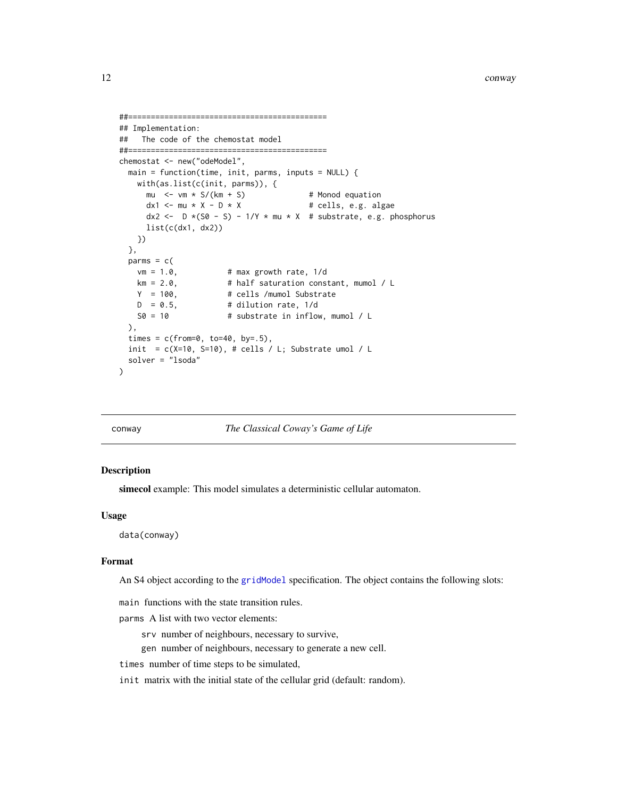```
##============================================
## Implementation:
## The code of the chemostat model
##============================================
chemostat <- new("odeModel",
 main = function(time, init, parms, inputs = NULL) {
   with(as.list(c(init, parms)), {
      mu \le \mathsf{vm} \times \mathsf{S}/(\mathsf{km} + \mathsf{S}) # Monod equation
      dx1 \le -mu \times X - D \times X # cells, e.g. algae
      dx2 <- D * (S0 - S) - 1/Y * mu * X # substrate, e.g. phosphoruslist(c(dx1, dx2))
   })
 },
 params = c(vm = 1.0, # max growth rate, 1/d<br>km = 2.0, # half saturation const
                      # half saturation constant, mumol / L
   Y = 100, # cells /mumol Substrate
   D = 0.5, # dilution rate, 1/d
   S0 = 10 # substrate in inflow, mumol / L
 ),
 times = c(from=0, to=40, by=.5),
 init = c(X=10, S=10), # cells / L; Substitute umol / Lsolver = "lsoda"
)
```
<span id="page-11-1"></span>

conway *The Classical Coway's Game of Life*

#### **Description**

simecol example: This model simulates a deterministic cellular automaton.

#### Usage

data(conway)

#### Format

An S4 object according to the [gridModel](#page-37-2) specification. The object contains the following slots:

main functions with the state transition rules.

parms A list with two vector elements:

- srv number of neighbours, necessary to survive,
- gen number of neighbours, necessary to generate a new cell.

times number of time steps to be simulated,

init matrix with the initial state of the cellular grid (default: random).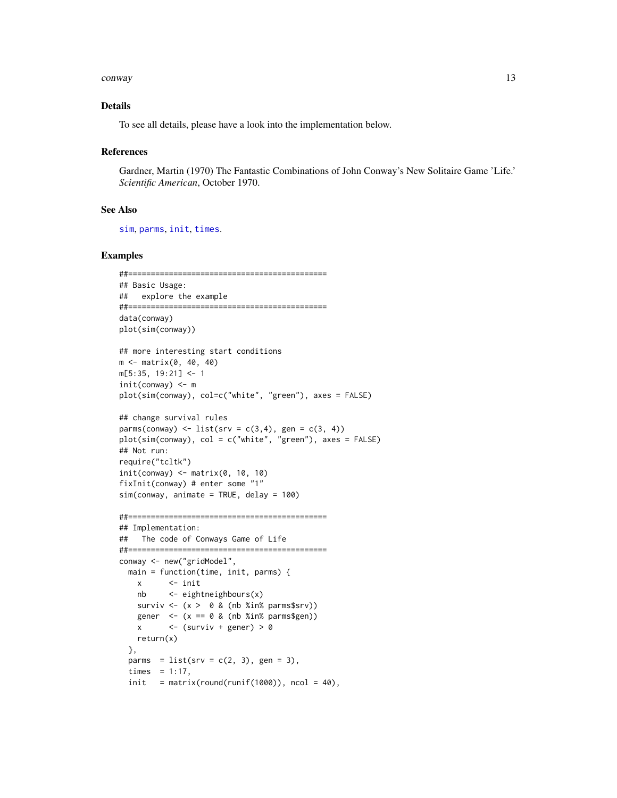#### <span id="page-12-0"></span>conway and the contract of the contract of the contract of the contract of the contract of the contract of the contract of the contract of the contract of the contract of the contract of the contract of the contract of the

#### Details

To see all details, please have a look into the implementation below.

#### References

Gardner, Martin (1970) The Fantastic Combinations of John Conway's New Solitaire Game 'Life.' *Scientific American*, October 1970.

#### See Also

[sim](#page-48-1), [parms](#page-41-1), [init](#page-41-2), [times](#page-41-2).

```
##============================================
## Basic Usage:
## explore the example
##============================================
data(conway)
plot(sim(conway))
## more interesting start conditions
m <- matrix(0, 40, 40)
m[5:35, 19:21] <- 1
init(conway) <- m
plot(sim(conway), col=c("white", "green"), axes = FALSE)
## change survival rules
parms(conway) <- list(srv = c(3, 4), gen = c(3, 4))
plot(sim(conway), col = c("white", "green"), axes = FALSE)
## Not run:
require("tcltk")
init(convay) \leftarrow matrix(0, 10, 10)fixInit(conway) # enter some "1"
sim(conway, animate = TRUE, delay = 100)
##============================================
## Implementation:
## The code of Conways Game of Life
##============================================
conway <- new("gridModel",
  main = function(time, init, parms) {
   x <- init
   nb <- eightneighbours(x)
   surviv \leftarrow (x > 0 & (nb %in% parms$srv))
    gener \leq (x == 0 & (nb %in% parms$gen))
   x \leftarrow (surviv + gener) > 0
   return(x)
  },
  parms = list(srv = c(2, 3), gen = 3),
  times = 1:17,
  init = matrix(round(runif(1000)), ncol = 40),
```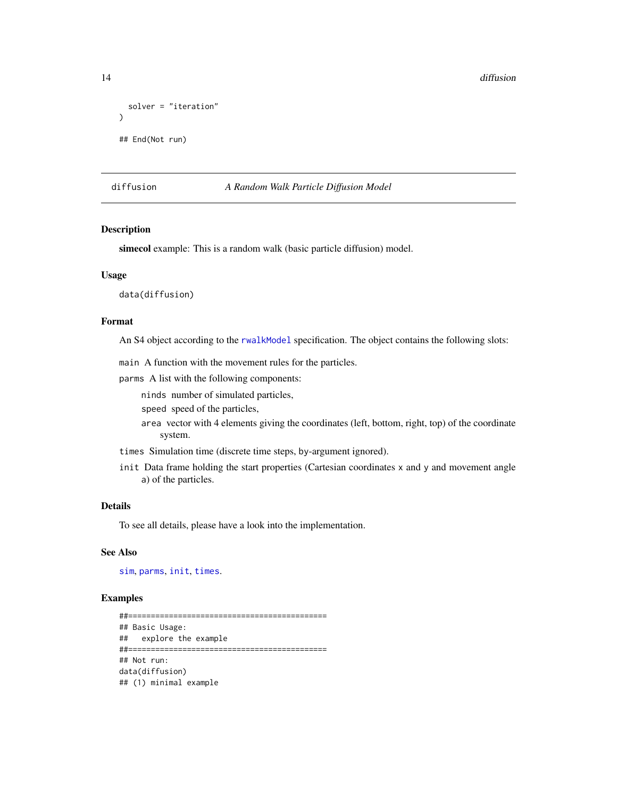```
solver = "iteration"
)
## End(Not run)
```
# <span id="page-13-1"></span>diffusion *A Random Walk Particle Diffusion Model*

#### Description

simecol example: This is a random walk (basic particle diffusion) model.

#### Usage

data(diffusion)

#### Format

An S4 object according to the [rwalkModel](#page-37-2) specification. The object contains the following slots:

main A function with the movement rules for the particles.

parms A list with the following components:

ninds number of simulated particles,

speed speed of the particles,

- area vector with 4 elements giving the coordinates (left, bottom, right, top) of the coordinate system.
- times Simulation time (discrete time steps, by-argument ignored).
- init Data frame holding the start properties (Cartesian coordinates x and y and movement angle a) of the particles.

# Details

To see all details, please have a look into the implementation.

#### See Also

[sim](#page-48-1), [parms](#page-41-1), [init](#page-41-2), [times](#page-41-2).

### Examples

##============================================ ## Basic Usage: ## explore the example ##============================================ ## Not run: data(diffusion) ## (1) minimal example

<span id="page-13-0"></span>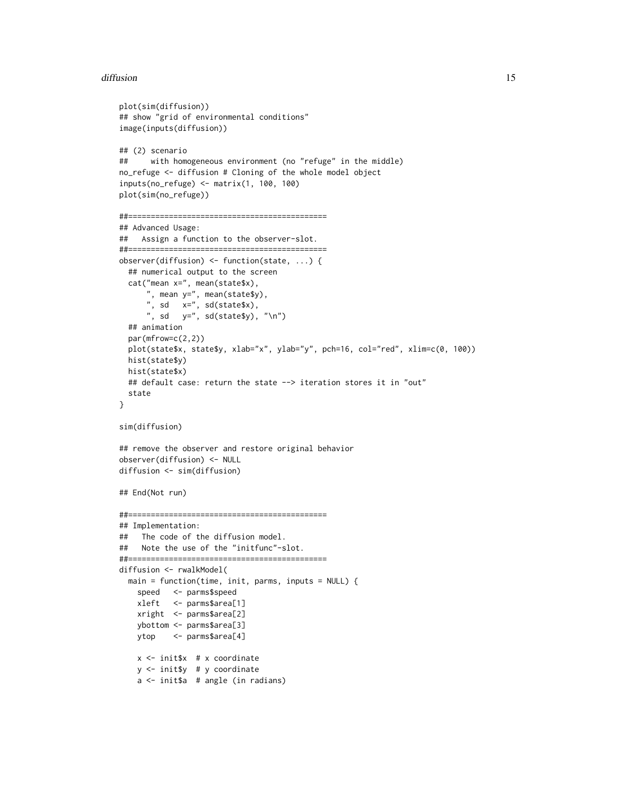#### diffusion and the contract of the contract of the contract of the contract of the contract of the contract of the contract of the contract of the contract of the contract of the contract of the contract of the contract of

```
plot(sim(diffusion))
## show "grid of environmental conditions"
image(inputs(diffusion))
## (2) scenario
## with homogeneous environment (no "refuge" in the middle)
no_refuge <- diffusion # Cloning of the whole model object
inputs(no_refuge) <- matrix(1, 100, 100)
plot(sim(no_refuge))
##============================================
## Advanced Usage:
## Assign a function to the observer-slot.
##============================================
observer(diffusion) <- function(state, ...) {
  ## numerical output to the screen
  cat("mean x=", mean(state$x),
      ", mean y=", mean(state$y),
       ", sd x=", sd(state$x),
      ", sd y =", sd(state$y), "\n")
  ## animation
  par(mfrow=c(2,2))
  plot(state$x, state$y, xlab="x", ylab="y", pch=16, col="red", xlim=c(0, 100))
  hist(state$y)
  hist(state$x)
  ## default case: return the state --> iteration stores it in "out"
  state
}
sim(diffusion)
## remove the observer and restore original behavior
observer(diffusion) <- NULL
diffusion <- sim(diffusion)
## End(Not run)
##============================================
## Implementation:
## The code of the diffusion model.
## Note the use of the "initfunc"-slot.
##============================================
diffusion <- rwalkModel(
  main = function(time, init, parms, inputs = NULL) {
    speed <- parms$speed
   xleft <- parms$area[1]
   xright <- parms$area[2]
   ybottom <- parms$area[3]
   ytop <- parms$area[4]
    x <- init$x # x coordinate
    y <- init$y # y coordinate
    a <- init$a # angle (in radians)
```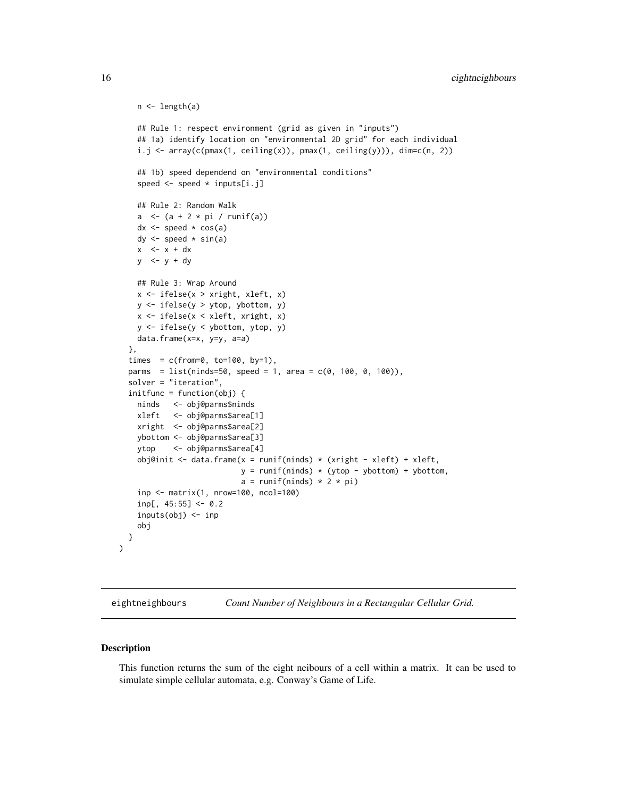```
n <- length(a)
  ## Rule 1: respect environment (grid as given in "inputs")
  ## 1a) identify location on "environmental 2D grid" for each individual
  i.j \leftarrow array(c(pmax(1, ceiling(x)), pmax(1, ceiling(y))), dim=c(n, 2))## 1b) speed dependend on "environmental conditions"
  speed <- speed * inputs[i.j]
  ## Rule 2: Random Walk
  a \leftarrow (a + 2 * pi / runif(a))
  dx \leftarrow speed * cos(a)dy \leq speed \star sin(a)
  x < -x + dxy \le -y + dy## Rule 3: Wrap Around
  x <- ifelse(x > xright, xleft, x)
 y <- ifelse(y > ytop, ybottom, y)
  x <- ifelse(x < xleft, xright, x)
 y <- ifelse(y < ybottom, ytop, y)
  data.frame(x=x, y=y, a=a)
},
times = c(from=0, to=100, by=1),parms = list(ninds=50, speed = 1, area = c(0, 100, 0, 100)),
solver = "iteration",
initfunc = function(obj)ninds <- obj@parms$ninds
  xleft <- obj@parms$area[1]
 xright <- obj@parms$area[2]
 ybottom <- obj@parms$area[3]
 ytop <- obj@parms$area[4]
  obj@init <- data.frame(x = runif(ninds) * (xright - xleft) + xleft,
                         y = runif(ninds) * (ytop - ybottom) + ybottom,a = runif(ninds) * 2 * pi)inp <- matrix(1, nrow=100, ncol=100)
  inp[, 45:55] < -0.2inputs(obj) <- inp
  obj
}
```
<span id="page-15-1"></span>eightneighbours *Count Number of Neighbours in a Rectangular Cellular Grid.*

#### Description

 $\mathcal{L}$ 

This function returns the sum of the eight neibours of a cell within a matrix. It can be used to simulate simple cellular automata, e.g. Conway's Game of Life.

<span id="page-15-0"></span>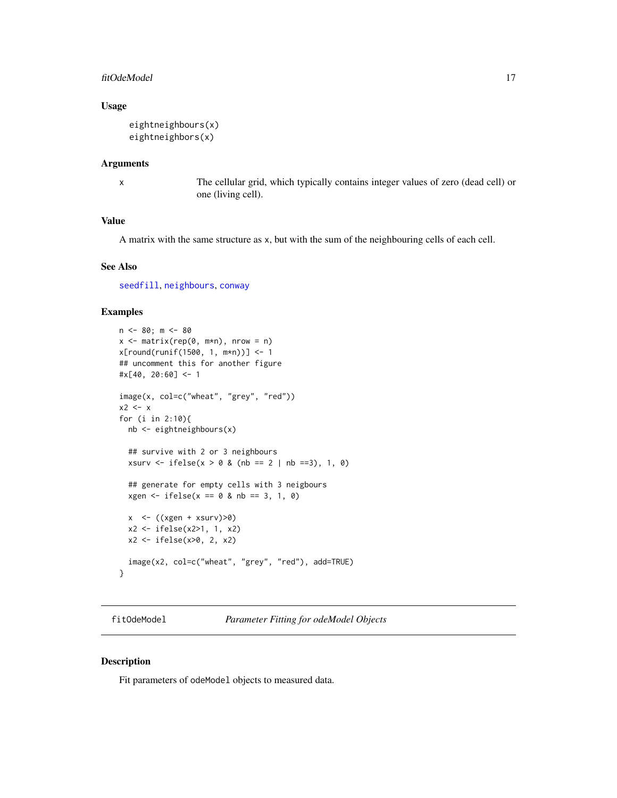#### <span id="page-16-0"></span>fitOdeModel 17

# Usage

```
eightneighbours(x)
eightneighbors(x)
```
#### Arguments

x The cellular grid, which typically contains integer values of zero (dead cell) or one (living cell).

# Value

A matrix with the same structure as x, but with the sum of the neighbouring cells of each cell.

# See Also

[seedfill](#page-47-1), [neighbours](#page-32-1), [conway](#page-11-1)

# Examples

```
n < -80; m < -80x \leq - matrix(rep(0, m*n), nrow = n)
x[round(runif(1500, 1, m*n))] <- 1
## uncomment this for another figure
#x[40, 20:60] < -1image(x, col=c("wheat", "grey", "red"))
x2 \leq -xfor (i in 2:10){
 nb <- eightneighbours(x)
  ## survive with 2 or 3 neighbours
  xsurv <- ifelse(x > 0 & (nb == 2 | nb ==3), 1, 0)
  ## generate for empty cells with 3 neigbours
  xgen < - ifelse(x == 0 &amp; nb == 3, 1, 0)x < - ((xgen + xsurv) > 0)
  x2 <- ifelse(x2>1, 1, x2)
  x2 <- ifelse(x>0, 2, x2)
  image(x2, col=c("wheat", "grey", "red"), add=TRUE)
}
```
<span id="page-16-1"></span>fitOdeModel *Parameter Fitting for odeModel Objects*

### Description

Fit parameters of odeModel objects to measured data.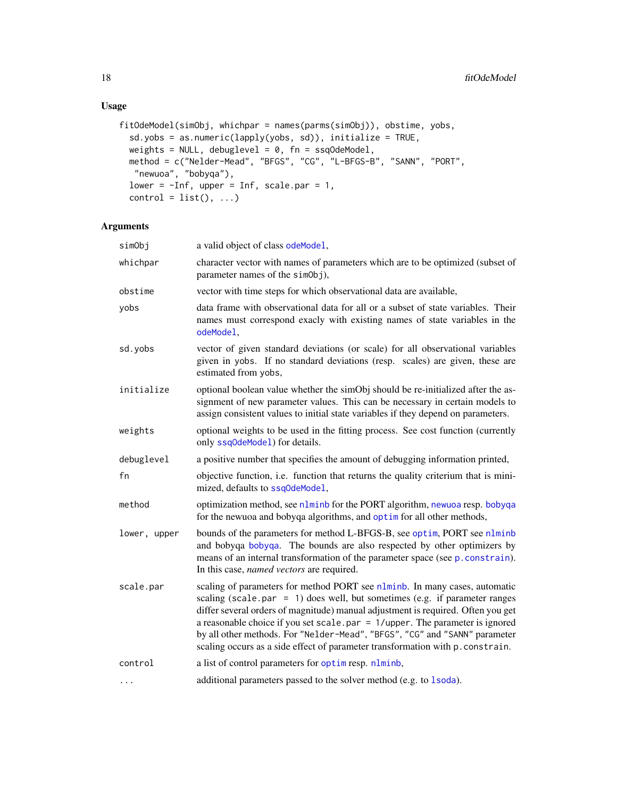```
fitOdeModel(simObj, whichpar = names(parms(simObj)), obstime, yobs,
  sd.yobs = as.numeric(lapply(yobs, sd)), initialize = TRUE,
 weights = NULL, debuglevel = 0, fn = ssqOdeModel,
 method = c("Nelder-Mead", "BFGS", "CG", "L-BFGS-B", "SANN", "PORT",
  "newuoa", "bobyqa"),
 lower = -Inf, upper = Inf, scale.par = 1,
  control = list(), ...)
```
# Arguments

| simObj       | a valid object of class odeMode1,                                                                                                                                                                                                                                                                                                                                                                                                                                                                   |
|--------------|-----------------------------------------------------------------------------------------------------------------------------------------------------------------------------------------------------------------------------------------------------------------------------------------------------------------------------------------------------------------------------------------------------------------------------------------------------------------------------------------------------|
| whichpar     | character vector with names of parameters which are to be optimized (subset of<br>parameter names of the simObj),                                                                                                                                                                                                                                                                                                                                                                                   |
| obstime      | vector with time steps for which observational data are available,                                                                                                                                                                                                                                                                                                                                                                                                                                  |
| yobs         | data frame with observational data for all or a subset of state variables. Their<br>names must correspond exacly with existing names of state variables in the<br>odeModel,                                                                                                                                                                                                                                                                                                                         |
| sd.yobs      | vector of given standard deviations (or scale) for all observational variables<br>given in yobs. If no standard deviations (resp. scales) are given, these are<br>estimated from yobs,                                                                                                                                                                                                                                                                                                              |
| initialize   | optional boolean value whether the simObj should be re-initialized after the as-<br>signment of new parameter values. This can be necessary in certain models to<br>assign consistent values to initial state variables if they depend on parameters.                                                                                                                                                                                                                                               |
| weights      | optional weights to be used in the fitting process. See cost function (currently<br>only ssq0deMode1) for details.                                                                                                                                                                                                                                                                                                                                                                                  |
| debuglevel   | a positive number that specifies the amount of debugging information printed,                                                                                                                                                                                                                                                                                                                                                                                                                       |
| fn           | objective function, i.e. function that returns the quality criterium that is mini-<br>mized, defaults to ssq0deMode1,                                                                                                                                                                                                                                                                                                                                                                               |
| method       | optimization method, see nlminb for the PORT algorithm, newuoa resp. bobyqa<br>for the newuoa and bobyqa algorithms, and optim for all other methods,                                                                                                                                                                                                                                                                                                                                               |
| lower, upper | bounds of the parameters for method L-BFGS-B, see optim, PORT see nlminb<br>and bobyqa bobyqa. The bounds are also respected by other optimizers by<br>means of an internal transformation of the parameter space (see p. constrain).<br>In this case, <i>named vectors</i> are required.                                                                                                                                                                                                           |
| scale.par    | scaling of parameters for method PORT see nlminb. In many cases, automatic<br>scaling (scale.par = $1$ ) does well, but sometimes (e.g. if parameter ranges<br>differ several orders of magnitude) manual adjustment is required. Often you get<br>a reasonable choice if you set scale. par $= 1$ /upper. The parameter is ignored<br>by all other methods. For "Nelder-Mead", "BFGS", "CG" and "SANN" parameter<br>scaling occurs as a side effect of parameter transformation with p. constrain. |
| control      | a list of control parameters for optimiting numbs,                                                                                                                                                                                                                                                                                                                                                                                                                                                  |
| $\cdots$     | additional parameters passed to the solver method (e.g. to 1soda).                                                                                                                                                                                                                                                                                                                                                                                                                                  |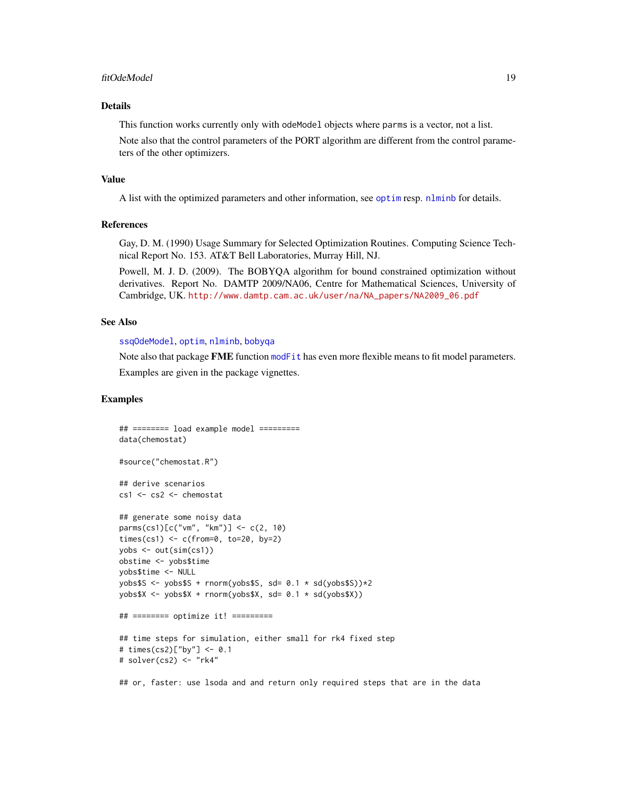#### <span id="page-18-0"></span>fitOdeModel 19

# Details

This function works currently only with odeModel objects where parms is a vector, not a list.

Note also that the control parameters of the PORT algorithm are different from the control parameters of the other optimizers.

#### Value

A list with the optimized parameters and other information, see [optim](#page-0-0) resp. [nlminb](#page-0-0) for details.

#### References

Gay, D. M. (1990) Usage Summary for Selected Optimization Routines. Computing Science Technical Report No. 153. AT&T Bell Laboratories, Murray Hill, NJ.

Powell, M. J. D. (2009). The BOBYQA algorithm for bound constrained optimization without derivatives. Report No. DAMTP 2009/NA06, Centre for Mathematical Sciences, University of Cambridge, UK. [http://www.damtp.cam.ac.uk/user/na/NA\\_papers/NA2009\\_06.pdf](http://www.damtp.cam.ac.uk/user/na/NA_papers/NA2009_06.pdf)

#### See Also

[ssqOdeModel](#page-49-1), [optim](#page-0-0), [nlminb](#page-0-0), [bobyqa](#page-0-0)

Note also that package FME function [modFit](#page-0-0) has even more flexible means to fit model parameters. Examples are given in the package vignettes.

### Examples

```
## ======== load example model =========
data(chemostat)
#source("chemostat.R")
## derive scenarios
cs1 <- cs2 <- chemostat
## generate some noisy data
parms(cs1)[c("vm", "km")] <- c(2, 10)
times(cs1) <- c(from=0, to=20, by=2)
yobs <- out(sim(cs1))
obstime <- yobs$time
yobs$time <- NULL
yobs$S <- yobs$S + rnorm(yobs$S, sd= 0.1 * sd(yobs$S))*2
yobs$X <- yobs$X + rnorm(yobs$X, sd= 0.1 * sd(yobs$X))
## ======== optimize it! =========
## time steps for simulation, either small for rk4 fixed step
# times(cs2)["by"] <- 0.1
# solver(cs2) <- "rk4"
```
## or, faster: use lsoda and and return only required steps that are in the data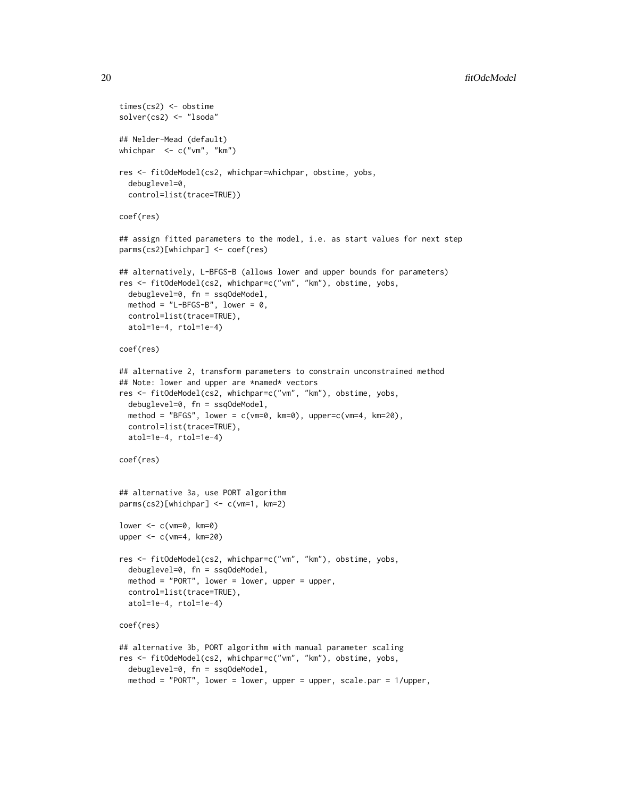```
times(cs2) <- obstime
solver(cs2) <- "lsoda"
## Nelder-Mead (default)
whichpar <- c("vm", "km")
res <- fitOdeModel(cs2, whichpar=whichpar, obstime, yobs,
  debuglevel=0,
  control=list(trace=TRUE))
coef(res)
## assign fitted parameters to the model, i.e. as start values for next step
parms(cs2)[whichpar] <- coef(res)
## alternatively, L-BFGS-B (allows lower and upper bounds for parameters)
res <- fitOdeModel(cs2, whichpar=c("vm", "km"), obstime, yobs,
  debuglevel=0, fn = ssqOdeModel,
  method = "L-BFGS-B", lower = 0,control=list(trace=TRUE),
  atol=1e-4, rtol=1e-4)
coef(res)
## alternative 2, transform parameters to constrain unconstrained method
## Note: lower and upper are *named* vectors
res <- fitOdeModel(cs2, whichpar=c("vm", "km"), obstime, yobs,
  debuglevel=0, fn = ssqOdeModel,
  method = "BFGS", lower = c(vm=0, km=0), upper=c(vm=4, km=20),
  control=list(trace=TRUE),
  atol=1e-4, rtol=1e-4)
coef(res)
## alternative 3a, use PORT algorithm
parms(cs2)[whichpar] <- c(vm=1, km=2)
lower <- c(vm=0, km=0)
upper <- c(vm=4, km=20)
res <- fitOdeModel(cs2, whichpar=c("vm", "km"), obstime, yobs,
  debuglevel=0, fn = ssqOdeModel,
  method = "PORT", lower = lower, upper = upper,
  control=list(trace=TRUE),
  atol=1e-4, rtol=1e-4)
coef(res)
## alternative 3b, PORT algorithm with manual parameter scaling
res <- fitOdeModel(cs2, whichpar=c("vm", "km"), obstime, yobs,
  debuglevel=0, fn = ssqOdeModel,
  method = "PORT", lower = lower, upper = upper, scale.par = 1/upper,
```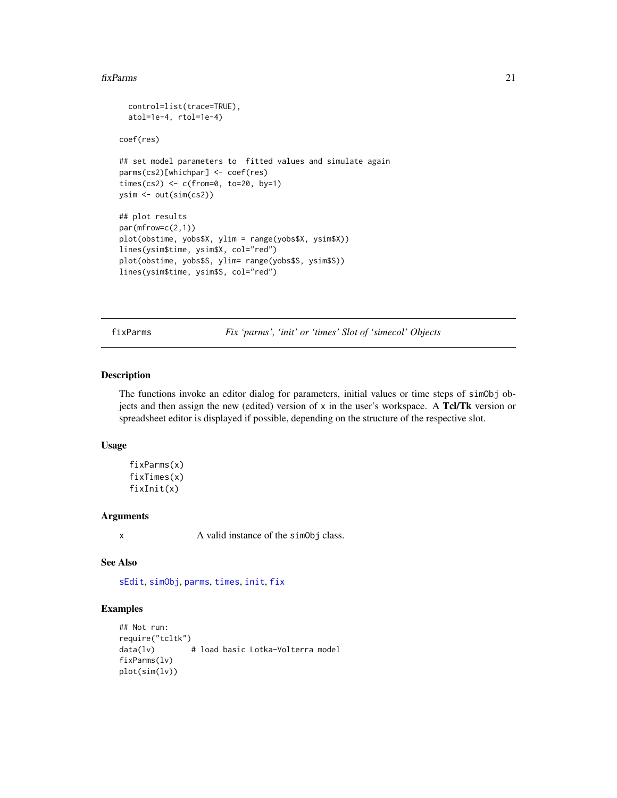#### <span id="page-20-0"></span>fixParms 21

```
control=list(trace=TRUE),
  atol=1e-4, rtol=1e-4)
coef(res)
## set model parameters to fitted values and simulate again
parms(cs2)[whichpar] <- coef(res)
times(cs2) <- c(from=0, to=20, by=1)
ysim <- out(sim(cs2))
## plot results
par(mfrow=c(2,1))
plot(obstime, yobs$X, ylim = range(yobs$X, ysim$X))
lines(ysim$time, ysim$X, col="red")
plot(obstime, yobs$S, ylim= range(yobs$S, ysim$S))
lines(ysim$time, ysim$S, col="red")
```
<span id="page-20-1"></span>fixParms *Fix 'parms', 'init' or 'times' Slot of 'simecol' Objects*

## Description

The functions invoke an editor dialog for parameters, initial values or time steps of simObj objects and then assign the new (edited) version of  $x$  in the user's workspace. A Tcl/Tk version or spreadsheet editor is displayed if possible, depending on the structure of the respective slot.

#### Usage

fixParms(x) fixTimes(x) fixInit(x)

# **Arguments**

x A valid instance of the simObj class.

# See Also

[sEdit](#page-46-1), [simObj](#page-1-2), [parms](#page-41-1), [times](#page-41-2), [init](#page-41-2), [fix](#page-0-0)

```
## Not run:
require("tcltk")<br>data(lv)
                 # load basic Lotka-Volterra model
fixParms(lv)
plot(sim(lv))
```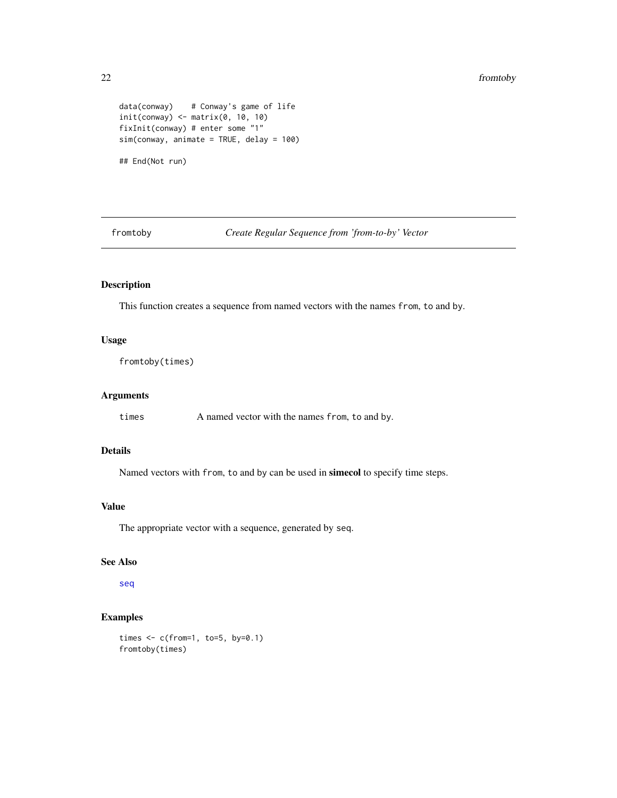#### 22 fromtoby

```
data(conway) # Conway's game of life
init(convay) \leftarrow matrix(0, 10, 10)fixInit(conway) # enter some "1"
sim(conway, animate = TRUE, delay = 100)
## End(Not run)
```
fromtoby *Create Regular Sequence from 'from-to-by' Vector*

# Description

This function creates a sequence from named vectors with the names from, to and by.

# Usage

```
fromtoby(times)
```
# Arguments

times A named vector with the names from, to and by.

# Details

Named vectors with from, to and by can be used in simecol to specify time steps.

#### Value

The appropriate vector with a sequence, generated by seq.

# See Also

[seq](#page-0-0)

```
times \leq c(from=1, to=5, by=0.1)
fromtoby(times)
```
<span id="page-21-0"></span>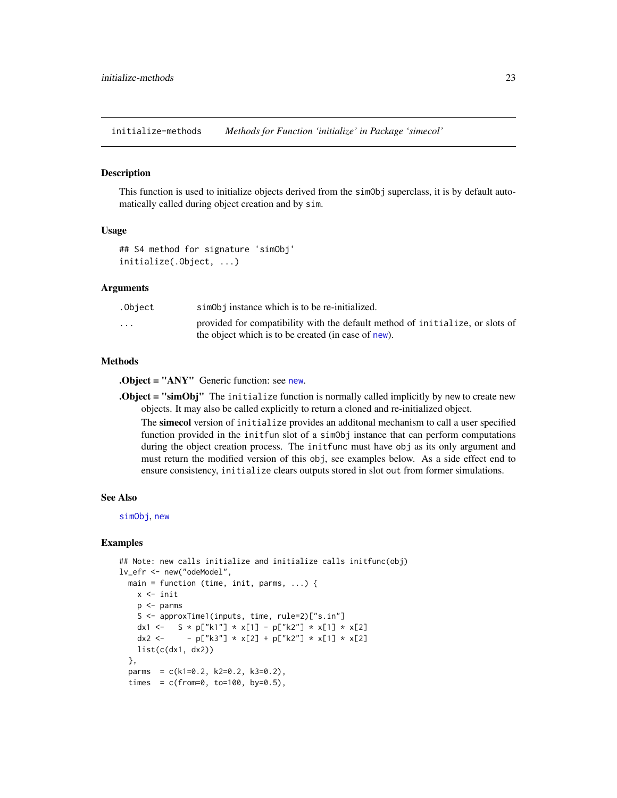<span id="page-22-0"></span>initialize-methods *Methods for Function 'initialize' in Package 'simecol'*

#### **Description**

This function is used to initialize objects derived from the simObj superclass, it is by default automatically called during object creation and by sim.

#### Usage

```
## S4 method for signature 'simObj'
initialize(.Object, ...)
```
#### Arguments

| .Object                 | simobj instance which is to be re-initialized.                                                                                       |
|-------------------------|--------------------------------------------------------------------------------------------------------------------------------------|
| $\cdot$ $\cdot$ $\cdot$ | provided for compatibility with the default method of initialize, or slots of<br>the object which is to be created (in case of new). |

#### Methods

.Object = "ANY" Generic function: see [new](#page-0-0).

**.Object = "simObj"** The initialize function is normally called implicitly by new to create new objects. It may also be called explicitly to return a cloned and re-initialized object.

The simecol version of initialize provides an additonal mechanism to call a user specified function provided in the initfun slot of a simObj instance that can perform computations during the object creation process. The init func must have obj as its only argument and must return the modified version of this obj, see examples below. As a side effect end to ensure consistency, initialize clears outputs stored in slot out from former simulations.

#### See Also

[simObj](#page-1-2), [new](#page-0-0)

```
## Note: new calls initialize and initialize calls initfunc(obj)
lv_efr <- new("odeModel",
 main = function (time, init, parms, ...) {
   x <- init
   p <- parms
   S <- approxTime1(inputs, time, rule=2)["s.in"]
   dx1 <- S * p["k1"] * x[1] - p["k2"] * x[1] * x[2]dx2 <- - p["k3"] * x[2] + p["k2"] * x[1] * x[2]
   list(c(dx1, dx2))},
 parms = c(k1=0.2, k2=0.2, k3=0.2),
 times = c(from=0, to=100, by=0.5),
```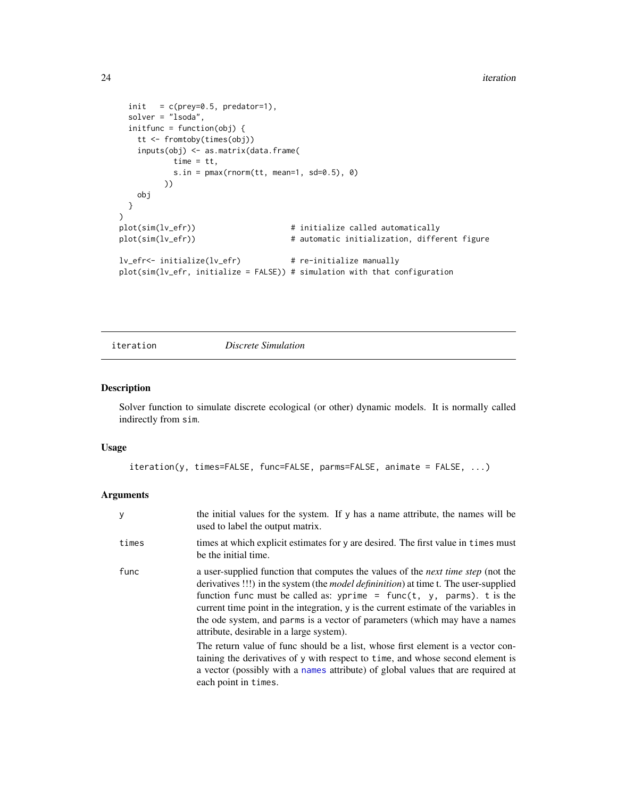```
init = c(\text{prey=0.5, predator=1}),solver = "lsoda",
 initfunc = function(obj) {
   tt <- fromtoby(times(obj))
    inputs(obj) <- as.matrix(data.frame(
           time = tt,
           s.in = pmax(rnorm(t), mean=1, sd=0.5), 0)))
   obj
 }
)
plot(sim(lv_efr)) \qquad \qquad \qquad # initialize called automatically
plot(sim(lv_efr)) + automatic initialization, different figure
lv_efr<- initialize(lv_efr) # re-initialize manually
plot(sim(lv_efr, initialize = FALSE)) # simulation with that configuration
```
iteration *Discrete Simulation*

# Description

Solver function to simulate discrete ecological (or other) dynamic models. It is normally called indirectly from sim.

#### Usage

```
iteration(y, times=FALSE, func=FALSE, parms=FALSE, animate = FALSE, ...)
```
#### Arguments

| у     | the initial values for the system. If y has a name attribute, the names will be<br>used to label the output matrix.                                                                                                                                                                                                                                                                                                                                                                 |
|-------|-------------------------------------------------------------------------------------------------------------------------------------------------------------------------------------------------------------------------------------------------------------------------------------------------------------------------------------------------------------------------------------------------------------------------------------------------------------------------------------|
| times | times at which explicit estimates for y are desired. The first value in times must<br>be the initial time.                                                                                                                                                                                                                                                                                                                                                                          |
| func  | a user-supplied function that computes the values of the <i>next time step</i> (not the<br>derivatives !!!) in the system (the <i>model defininition</i> ) at time t. The user-supplied<br>function func must be called as: yprime = func(t, y, parms). t is the<br>current time point in the integration, y is the current estimate of the variables in<br>the ode system, and parms is a vector of parameters (which may have a names<br>attribute, desirable in a large system). |
|       | The return value of func should be a list, whose first element is a vector con-<br>taining the derivatives of y with respect to time, and whose second element is<br>a vector (possibly with a names attribute) of global values that are required at<br>each point in times.                                                                                                                                                                                                       |

<span id="page-23-0"></span>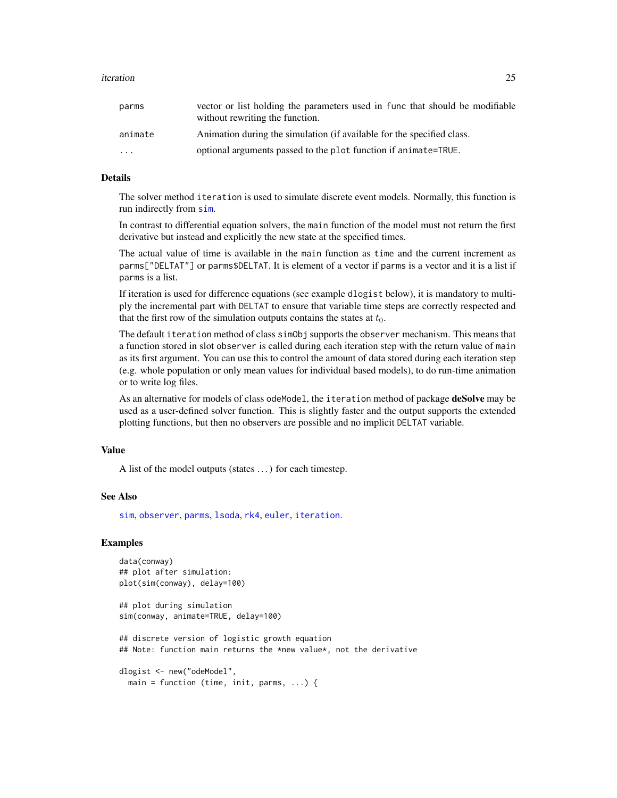#### <span id="page-24-0"></span>iteration 25

| vector or list holding the parameters used in func that should be modifiable<br>without rewriting the function. |
|-----------------------------------------------------------------------------------------------------------------|
| Animation during the simulation (if available for the specified class.                                          |
| optional arguments passed to the plot function if animate=TRUE.                                                 |
|                                                                                                                 |

# Details

The solver method iteration is used to simulate discrete event models. Normally, this function is run indirectly from [sim](#page-48-1).

In contrast to differential equation solvers, the main function of the model must not return the first derivative but instead and explicitly the new state at the specified times.

The actual value of time is available in the main function as time and the current increment as parms["DELTAT"] or parms\$DELTAT. It is element of a vector if parms is a vector and it is a list if parms is a list.

If iteration is used for difference equations (see example dlogist below), it is mandatory to multiply the incremental part with DELTAT to ensure that variable time steps are correctly respected and that the first row of the simulation outputs contains the states at  $t_0$ .

The default iteration method of class simObj supports the observer mechanism. This means that a function stored in slot observer is called during each iteration step with the return value of main as its first argument. You can use this to control the amount of data stored during each iteration step (e.g. whole population or only mean values for individual based models), to do run-time animation or to write log files.

As an alternative for models of class odeModel, the iteration method of package deSolve may be used as a user-defined solver function. This is slightly faster and the output supports the extended plotting functions, but then no observers are possible and no implicit DELTAT variable.

# Value

A list of the model outputs (states . . . ) for each timestep.

# See Also

[sim](#page-48-1), [observer](#page-35-1), [parms](#page-41-1), [lsoda](#page-0-0), [rk4](#page-0-0), [euler](#page-0-0), [iteration](#page-23-1).

```
data(conway)
## plot after simulation:
plot(sim(conway), delay=100)
## plot during simulation
sim(conway, animate=TRUE, delay=100)
## discrete version of logistic growth equation
## Note: function main returns the *new value*, not the derivative
dlogist <- new("odeModel",
 main = function (time, init, parms, ...) {
```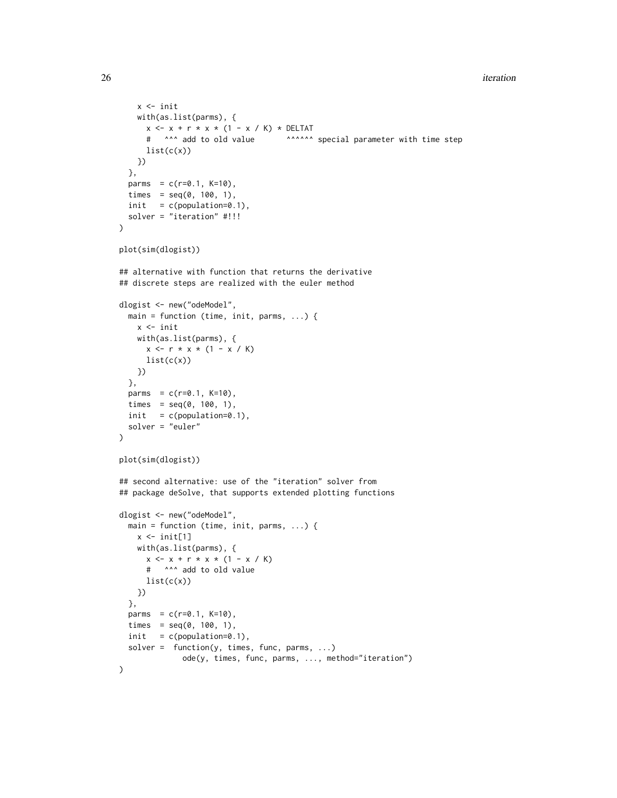#### 26 iteration and the contract of the contract of the contract of the contract of the contract of the contract of the contract of the contract of the contract of the contract of the contract of the contract of the contract

```
x <- init
    with(as.list(parms), {
     x \le -x + r \times x \times (1 - x / K) \times \text{DELTAT}# ^^^ add to old value ^^^^^^ special parameter with time step
     list(c(x))})
  },
  parms = c(r=0.1, K=10),
  times = seq(0, 100, 1),
  init = c(population=0.1),solver = "iteration" #!!!
\lambdaplot(sim(dlogist))
## alternative with function that returns the derivative
## discrete steps are realized with the euler method
dlogist <- new("odeModel",
  main = function (time, init, parms, ...) {
    x <- init
    with(as.list(parms), {
     x \leq -r * x * (1 - x / K)list(c(x))})
  },
  parms = c(r=0.1, K=10),
  times = seq(0, 100, 1),
  init = c(population=0.1),solver = "euler"
\lambdaplot(sim(dlogist))
## second alternative: use of the "iteration" solver from
## package deSolve, that supports extended plotting functions
dlogist <- new("odeModel",
  main = function (time, init, parms, ...) {
    x \leftarrow \text{init}[1]with(as.list(parms), {
     x \le -x + r \times x \times (1 - x / K)# ^^^ add to old value
     list(c(x))
    })
  },
  parms = c(r=0.1, K=10),
  times = seq(0, 100, 1),
  init = c(population=0.1),solver = function(y, times, func, parms, ...)ode(y, times, func, parms, ..., method="iteration")
)
```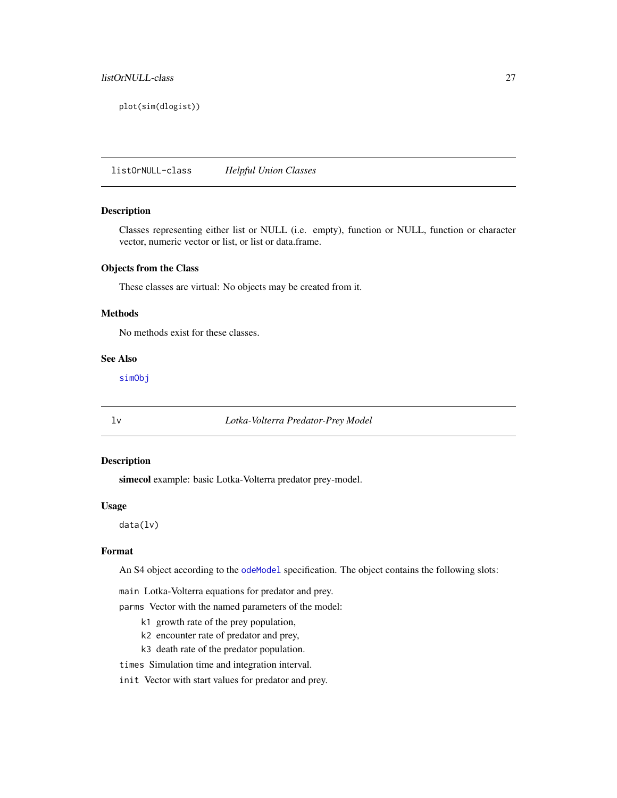# <span id="page-26-0"></span>listOrNULL-class 27

plot(sim(dlogist))

listOrNULL-class *Helpful Union Classes*

# Description

Classes representing either list or NULL (i.e. empty), function or NULL, function or character vector, numeric vector or list, or list or data.frame.

#### Objects from the Class

These classes are virtual: No objects may be created from it.

#### Methods

No methods exist for these classes.

#### See Also

[simObj](#page-1-2)

<span id="page-26-1"></span>lv *Lotka-Volterra Predator-Prey Model*

# Description

simecol example: basic Lotka-Volterra predator prey-model.

#### Usage

data(lv)

#### Format

An S4 object according to the [odeModel](#page-37-1) specification. The object contains the following slots:

main Lotka-Volterra equations for predator and prey.

parms Vector with the named parameters of the model:

- k1 growth rate of the prey population,
- k2 encounter rate of predator and prey,
- k3 death rate of the predator population.
- times Simulation time and integration interval.

init Vector with start values for predator and prey.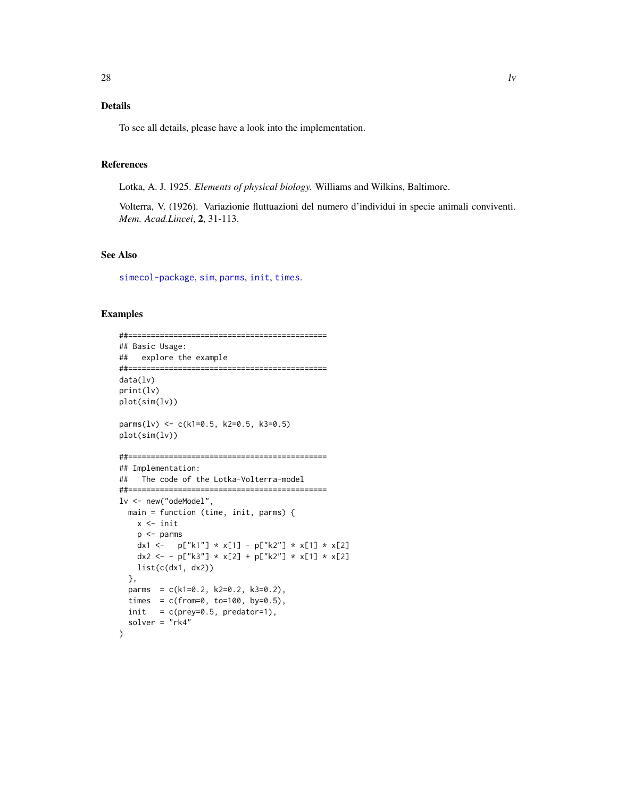# <span id="page-27-0"></span>Details

To see all details, please have a look into the implementation.

#### References

Lotka, A. J. 1925. *Elements of physical biology.* Williams and Wilkins, Baltimore.

Volterra, V. (1926). Variazionie fluttuazioni del numero d'individui in specie animali conviventi. *Mem. Acad.Lincei*, 2, 31-113.

#### See Also

[simecol-package](#page-1-1), [sim](#page-48-1), [parms](#page-41-1), [init](#page-41-2), [times](#page-41-2).

```
##============================================
## Basic Usage:
## explore the example
##============================================
data(lv)
print(lv)
plot(sim(lv))
parms(lv) <- c(k1=0.5, k2=0.5, k3=0.5)
plot(sim(lv))
##============================================
## Implementation:
## The code of the Lotka-Volterra-model
##============================================
lv <- new("odeModel",
  main = function (time, init, parms) {
   x <- init
   p <- parms
   dx1 <- p["k1"] * x[1] - p["k2"] * x[1] * x[2]dx2 <- - p["k3"] * x[2] + p["k2"] * x[1] * x[2]
   list(c(dx1, dx2))
  },
  parms = c(k1=0.2, k2=0.2, k3=0.2),
  times = c(from=0, to=100, by=0.5),
  init = c(prey=0.5, predator=1),solver = "rk4"
)
```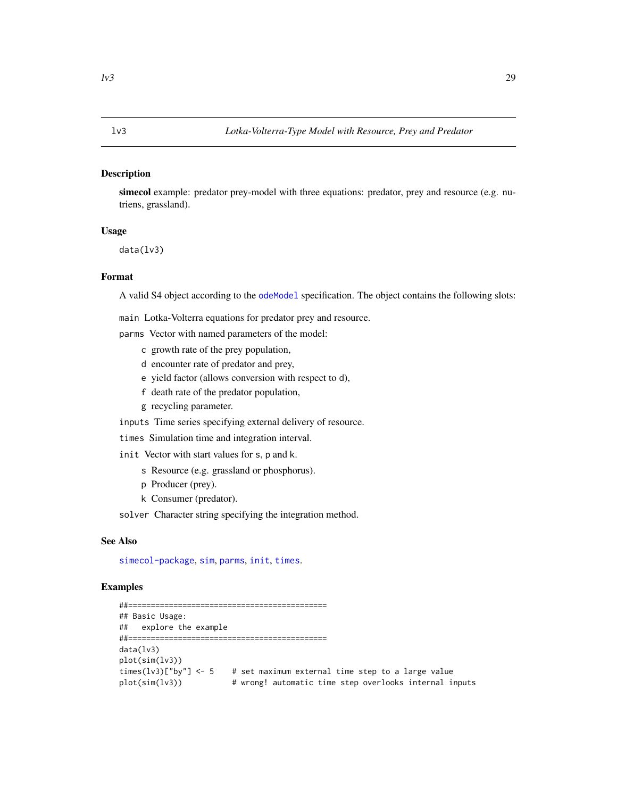#### <span id="page-28-1"></span><span id="page-28-0"></span>Description

simecol example: predator prey-model with three equations: predator, prey and resource (e.g. nutriens, grassland).

#### Usage

data(lv3)

#### Format

A valid S4 object according to the [odeModel](#page-37-1) specification. The object contains the following slots:

main Lotka-Volterra equations for predator prey and resource.

parms Vector with named parameters of the model:

- c growth rate of the prey population,
- d encounter rate of predator and prey,
- e yield factor (allows conversion with respect to d),
- f death rate of the predator population,
- g recycling parameter.

inputs Time series specifying external delivery of resource.

times Simulation time and integration interval.

init Vector with start values for s, p and k.

- s Resource (e.g. grassland or phosphorus).
- p Producer (prey).
- k Consumer (predator).

solver Character string specifying the integration method.

# See Also

[simecol-package](#page-1-1), [sim](#page-48-1), [parms](#page-41-1), [init](#page-41-2), [times](#page-41-2).

```
##============================================
## Basic Usage:
## explore the example
##============================================
data(lv3)
plot(sim(lv3))
times(lv3)["by"] \leq 5 # set maximum external time step to a large value
plot(sim(lv3)) # wrong! automatic time step overlooks internal inputs
```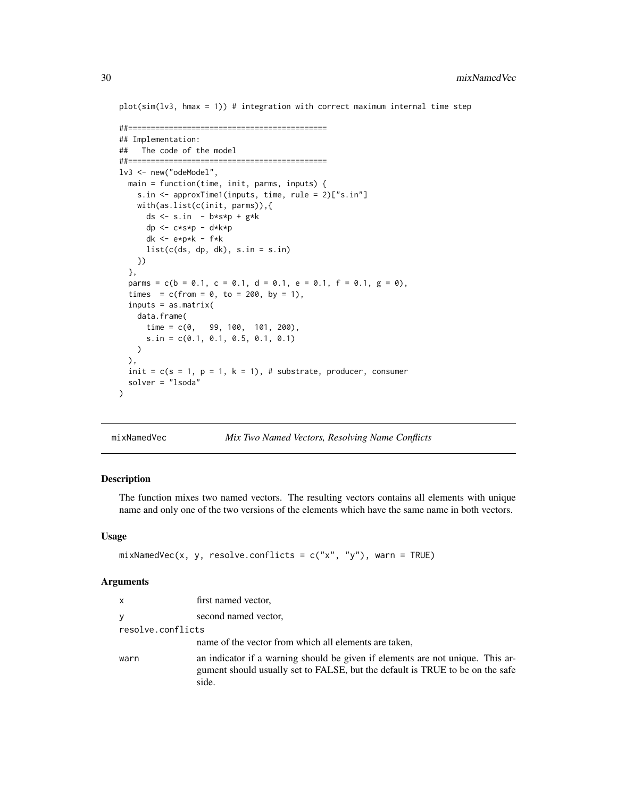$plot(sim(lv3, hmax = 1))$  # integration with correct maximum internal time step

```
##============================================
## Implementation:
## The code of the model
##============================================
lv3 <- new("odeModel",
  main = function(time, init, parms, inputs) {
    s.in <- approxTime1(inputs, time, rule = 2)["s.in"]
   with(as.list(c(init, parms)),{
      ds \leq s.in - b*s*p + g*k
     dp <- c*s*p - d*k*p
     dk <- e*p*k - f*k
     list(c(ds, dp, dk), s.in = s.in)})
  },
  parms = c(b = 0.1, c = 0.1, d = 0.1, e = 0.1, f = 0.1, g = 0),
  times = c(from = 0, to = 200, by = 1),inputs = as.matrix(
   data.frame(
      time = c(0, 99, 100, 101, 200),
      s.in = c(0.1, 0.1, 0.5, 0.1, 0.1)
   )
  ),
  init = c(s = 1, p = 1, k = 1), # substrate, producer, consumer
  solver = "lsoda"
)
```

| mixNamedVec |  | Mix Two Named Vectors, Resolving Name Conflicts |
|-------------|--|-------------------------------------------------|
|-------------|--|-------------------------------------------------|

#### Description

The function mixes two named vectors. The resulting vectors contains all elements with unique name and only one of the two versions of the elements which have the same name in both vectors.

#### Usage

```
mixNamedVec(x, y, resolve.config: ) = c("x", "y"), warn = TRUE)
```
# Arguments

| x                 | first named vector,                                                                                                                                                      |
|-------------------|--------------------------------------------------------------------------------------------------------------------------------------------------------------------------|
| v                 | second named vector,                                                                                                                                                     |
| resolve.conflicts |                                                                                                                                                                          |
|                   | name of the vector from which all elements are taken,                                                                                                                    |
| warn              | an indicator if a warning should be given if elements are not unique. This ar-<br>gument should usually set to FALSE, but the default is TRUE to be on the safe<br>side. |

<span id="page-29-0"></span>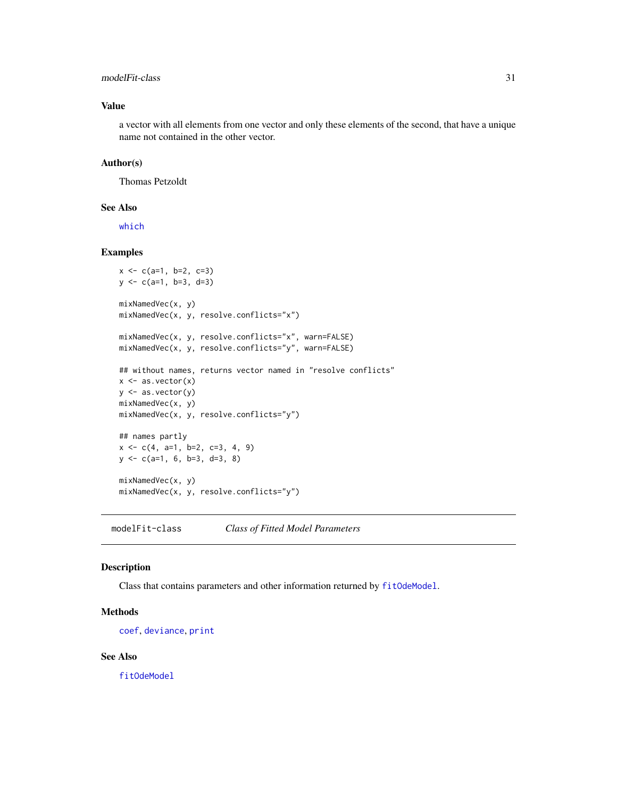#### <span id="page-30-0"></span>modelFit-class 31

#### Value

a vector with all elements from one vector and only these elements of the second, that have a unique name not contained in the other vector.

# Author(s)

Thomas Petzoldt

#### See Also

[which](#page-0-0)

#### Examples

```
x \leq -c(a=1, b=2, c=3)y <- c(a=1, b=3, d=3)
mixNamedVec(x, y)
mixNamedVec(x, y, resolve.conflicts="x")
mixNamedVec(x, y, resolve.conflicts="x", warn=FALSE)
mixNamedVec(x, y, resolve.conflicts="y", warn=FALSE)
## without names, returns vector named in "resolve conflicts"
x \leftarrow as vector(x)y <- as.vector(y)
mixNamedVec(x, y)
mixNamedVec(x, y, resolve.conflicts="y")
## names partly
x \leq -c(4, a=1, b=2, c=3, 4, 9)y <- c(a=1, 6, b=3, d=3, 8)
mixNamedVec(x, y)
mixNamedVec(x, y, resolve.conflicts="y")
```
modelFit-class *Class of Fitted Model Parameters*

#### Description

Class that contains parameters and other information returned by [fitOdeModel](#page-16-1).

#### Methods

[coef](#page-0-0), [deviance](#page-0-0), [print](#page-0-0)

#### See Also

[fitOdeModel](#page-16-1)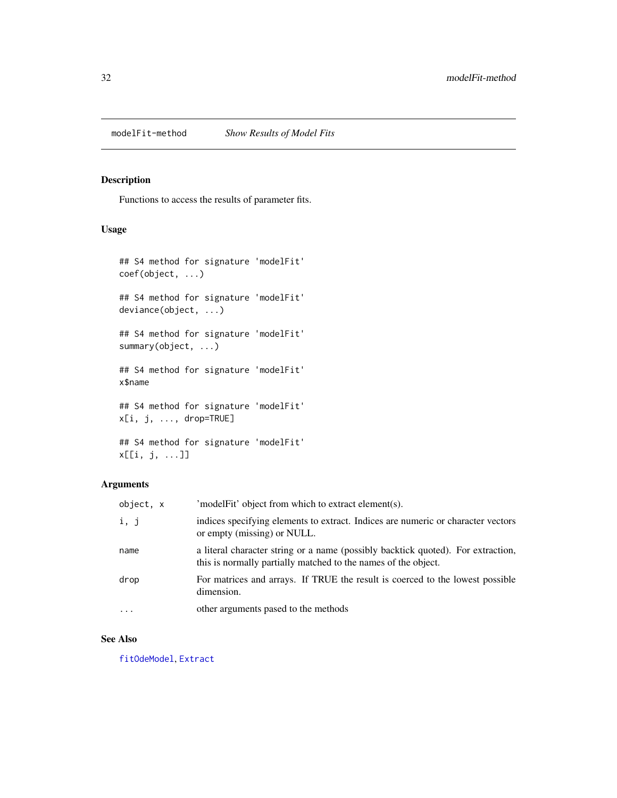<span id="page-31-0"></span>

#### Description

Functions to access the results of parameter fits.

# Usage

```
## S4 method for signature 'modelFit'
coef(object, ...)
## S4 method for signature 'modelFit'
deviance(object, ...)
## S4 method for signature 'modelFit'
summary(object, ...)
## S4 method for signature 'modelFit'
x$name
## S4 method for signature 'modelFit'
x[i, j, ..., drop=TRUE]
## S4 method for signature 'modelFit'
```
# x[[i, j, ...]]

# Arguments

| object, x | 'modelFit' object from which to extract element(s).                                                                                                |
|-----------|----------------------------------------------------------------------------------------------------------------------------------------------------|
| i, j      | indices specifying elements to extract. Indices are numeric or character vectors<br>or empty (missing) or NULL.                                    |
| name      | a literal character string or a name (possibly backtick quoted). For extraction,<br>this is normally partially matched to the names of the object. |
| drop      | For matrices and arrays. If TRUE the result is coerced to the lowest possible<br>dimension.                                                        |
| $\cdots$  | other arguments pased to the methods                                                                                                               |

# See Also

[fitOdeModel](#page-16-1), [Extract](#page-0-0)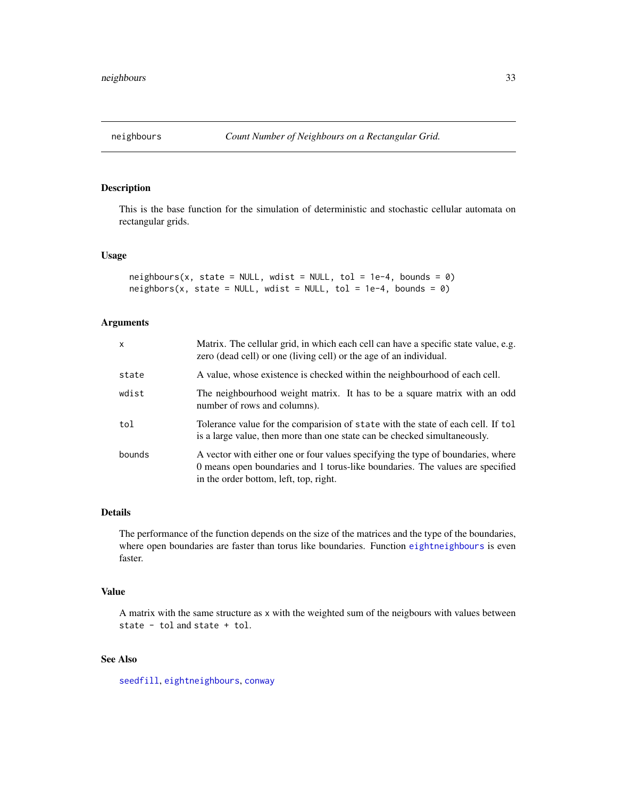<span id="page-32-1"></span><span id="page-32-0"></span>

# Description

This is the base function for the simulation of deterministic and stochastic cellular automata on rectangular grids.

# Usage

```
neighbors(x, state = NULL, wdist = NULL, tol = 1e-4, bounds = 0)neighbors(x, state = NULL, wdist = NULL, tol = 1e-4, bounds = 0)
```
# Arguments

| X      | Matrix. The cellular grid, in which each cell can have a specific state value, e.g.<br>zero (dead cell) or one (living cell) or the age of an individual.                                                   |
|--------|-------------------------------------------------------------------------------------------------------------------------------------------------------------------------------------------------------------|
| state  | A value, whose existence is checked within the neighbourhood of each cell.                                                                                                                                  |
| wdist  | The neighbourhood weight matrix. It has to be a square matrix with an odd<br>number of rows and columns).                                                                                                   |
| tol    | Tolerance value for the comparision of state with the state of each cell. If tol<br>is a large value, then more than one state can be checked simultaneously.                                               |
| bounds | A vector with either one or four values specifying the type of boundaries, where<br>0 means open boundaries and 1 torus-like boundaries. The values are specified<br>in the order bottom, left, top, right. |

#### Details

The performance of the function depends on the size of the matrices and the type of the boundaries, where open boundaries are faster than torus like boundaries. Function [eightneighbours](#page-15-1) is even faster.

#### Value

A matrix with the same structure as x with the weighted sum of the neigbours with values between state - tol and state + tol.

# See Also

[seedfill](#page-47-1), [eightneighbours](#page-15-1), [conway](#page-11-1)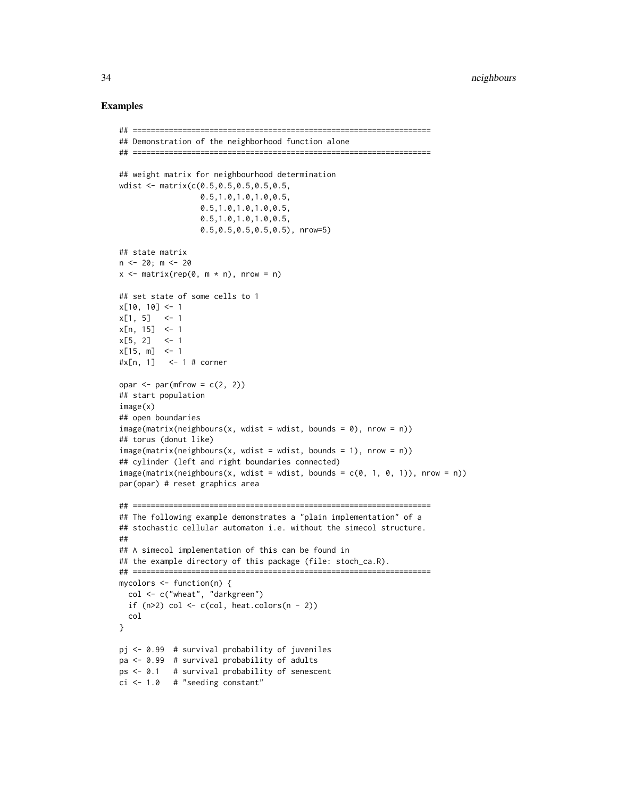```
## ==================================================================
## Demonstration of the neighborhood function alone
## ==================================================================
## weight matrix for neighbourhood determination
wdist <- matrix(c(0.5,0.5,0.5,0.5,0.5,
                  0.5,1.0,1.0,1.0,0.5,
                  0.5,1.0,1.0,1.0,0.5,
                  0.5,1.0,1.0,1.0,0.5,
                  0.5,0.5,0.5,0.5,0.5), nrow=5)
## state matrix
n \le -20; m \le -20x \le - matrix(rep(0, m * n), nrow = n)
## set state of some cells to 1
x[10, 10] <- 1
x[1, 5] <- 1
x[n, 15] <- 1
x[5, 2] <-1
x[15, m] <- 1
#x[n, 1] <- 1 # corner
opar \leq par(mfrow = c(2, 2))
## start population
image(x)
## open boundaries
image(maxrix(neighbours(x, wdist = wdist, bounds = 0), nrow = n))## torus (donut like)
image(matrix(neighbors(x, wdist = wdist, bounds = 1), nrow = n))## cylinder (left and right boundaries connected)
image(matrix(neighbours(x, wdist = wdist, bounds = c(0, 1, 0, 1)), nrow = n))par(opar) # reset graphics area
## ==================================================================
## The following example demonstrates a "plain implementation" of a
## stochastic cellular automaton i.e. without the simecol structure.
##
## A simecol implementation of this can be found in
## the example directory of this package (file: stoch_ca.R).
## ==================================================================
mycolors <- function(n) {
  col <- c("wheat", "darkgreen")
  if (n>2) col \leq c(col, heat.colors(n - 2))
  col
}
pj <- 0.99 # survival probability of juveniles
pa <- 0.99 # survival probability of adults
ps <- 0.1 # survival probability of senescent
ci <- 1.0 # "seeding constant"
```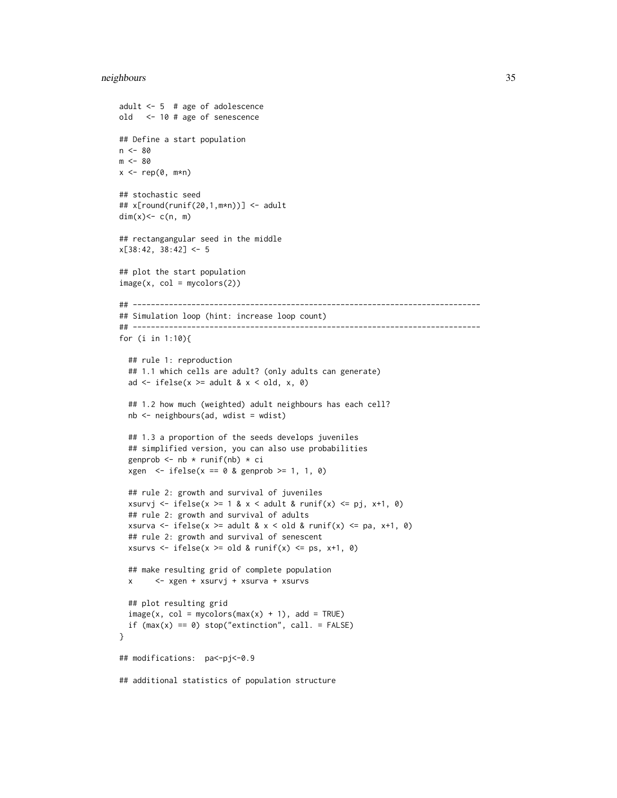```
adult <- 5 # age of adolescence
old <- 10 # age of senescence
## Define a start population
n < - 80m < - 80x \leq -\text{rep}(\emptyset, m*n)## stochastic seed
## x[round(runif(20,1,m*n))] <- adult
dim(x) <- c(n, m)
## rectangangular seed in the middle
x[38:42, 38:42] <- 5
## plot the start population
image(x, col = mycolors(2))## -----------------------------------------------------------------------------
## Simulation loop (hint: increase loop count)
## -----------------------------------------------------------------------------
for (i in 1:10){
  ## rule 1: reproduction
  ## 1.1 which cells are adult? (only adults can generate)
  ad \le ifelse(x >= adult & x \le old, x, 0)
  ## 1.2 how much (weighted) adult neighbours has each cell?
  nb <- neighbours(ad, wdist = wdist)
  ## 1.3 a proportion of the seeds develops juveniles
  ## simplified version, you can also use probabilities
  genprob \leq nb \star runif(nb) \star ci
  xgen \leftarrow ifelse(x == 0 & genprob >= 1, 1, 0)## rule 2: growth and survival of juveniles
  xsurvj <- ifelse(x >= 1 & x < adult & runif(x) <= pj, x+1, 0)
  ## rule 2: growth and survival of adults
  xsurva <- ifelse(x >= adult & x < old & runif(x) <= pa, x+1, 0)
  ## rule 2: growth and survival of senescent
  xsurvs \le ifelse(x \ge old & runif(x) \le ps, x+1, 0)
  ## make resulting grid of complete population
  x <- xgen + xsurvj + xsurva + xsurvs
  ## plot resulting grid
  image(x, col = mycolors(max(x) + 1), add = TRUE)if (max(x) == 0) stop("extinction", call. = FALSE)}
## modifications: pa<-pj<-0.9
## additional statistics of population structure
```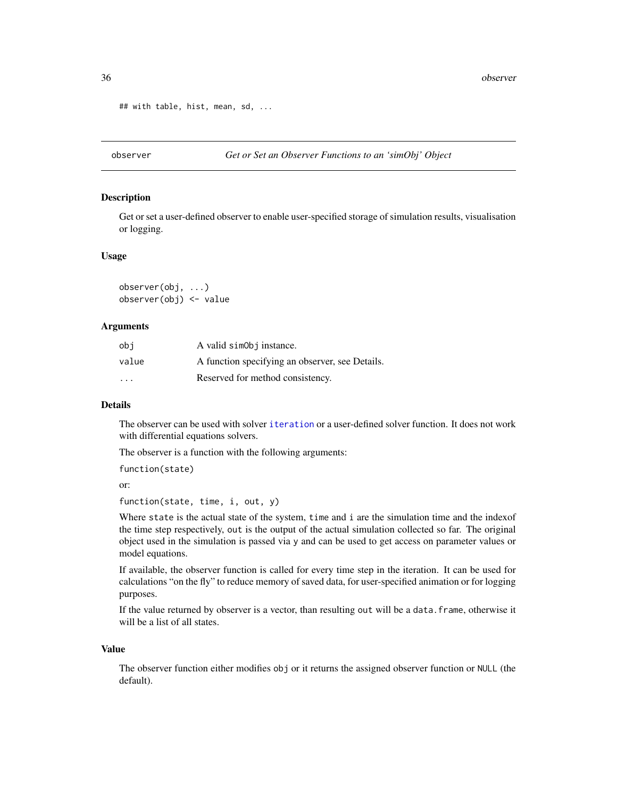```
## with table, hist, mean, sd, ...
```
<span id="page-35-1"></span>

#### Description

Get or set a user-defined observer to enable user-specified storage of simulation results, visualisation or logging.

#### Usage

observer(obj, ...) observer(obj) <- value

#### Arguments

| obi                     | A valid simoloj instance.                       |
|-------------------------|-------------------------------------------------|
| value                   | A function specifying an observer, see Details. |
| $\cdot$ $\cdot$ $\cdot$ | Reserved for method consistency.                |

# Details

The observer can be used with solver [iteration](#page-23-1) or a user-defined solver function. It does not work with differential equations solvers.

The observer is a function with the following arguments:

```
function(state)
or:
```
function(state, time, i, out, y)

Where state is the actual state of the system, time and i are the simulation time and the indexof the time step respectively, out is the output of the actual simulation collected so far. The original object used in the simulation is passed via y and can be used to get access on parameter values or model equations.

If available, the observer function is called for every time step in the iteration. It can be used for calculations "on the fly" to reduce memory of saved data, for user-specified animation or for logging purposes.

If the value returned by observer is a vector, than resulting out will be a data.frame, otherwise it will be a list of all states.

### Value

The observer function either modifies obj or it returns the assigned observer function or NULL (the default).

<span id="page-35-0"></span>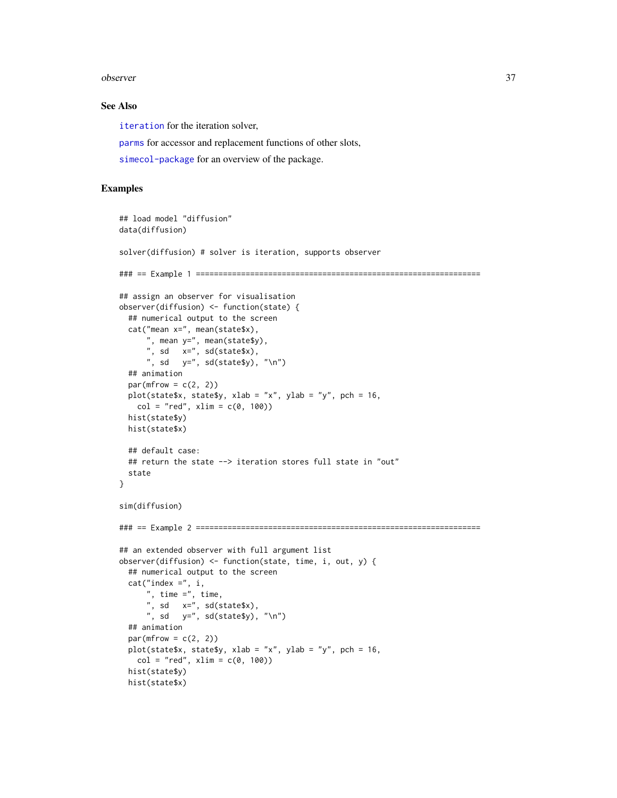#### <span id="page-36-0"></span>observer 37

#### See Also

[iteration](#page-23-1) for the iteration solver,

[parms](#page-41-1) for accessor and replacement functions of other slots,

[simecol-package](#page-1-1) for an overview of the package.

```
## load model "diffusion"
data(diffusion)
solver(diffusion) # solver is iteration, supports observer
### == Example 1 ===============================================================
## assign an observer for visualisation
observer(diffusion) <- function(state) {
 ## numerical output to the screen
 cat("mean x=", mean(state$x),
      ", mean y=", mean(state$y),
      ", sd x=", sd(state$x),
     ", sd y=", sd(state$y), "\n")
 ## animation
 par(mfrow = c(2, 2))plot(state$x, state$y, xlab = "x", ylab = "y", pch = 16,
   col = "red", xlim = c(0, 100))hist(state$y)
 hist(state$x)
 ## default case:
 ## return the state --> iteration stores full state in "out"
 state
}
sim(diffusion)
### == Example 2 ===============================================================
## an extended observer with full argument list
observer(diffusion) <- function(state, time, i, out, y) {
 ## numerical output to the screen
 cat("index =", i,", time =", time,
     ", sd x =", sd(state$x),
     ", sd y =", sd(state$y), "\n")
 ## animation
 par(mfrow = c(2, 2))plot(state$x, state$y, xlab = "x", ylab = "y", pch = 16,
   col = "red", xlim = c(0, 100))hist(state$y)
 hist(state$x)
```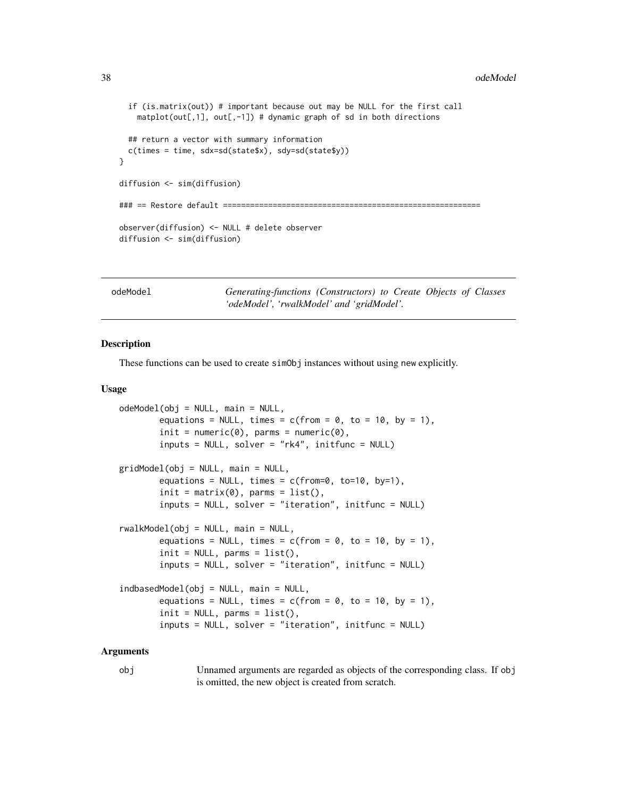#### <span id="page-37-0"></span>38 odeModel

```
if (is.matrix(out)) # important because out may be NULL for the first call
    mathlot(out[, 1], out[, -1]) # dynamic graph of sd in both directions
 ## return a vector with summary information
 c(times = time, sdx=sd(state$x), sdy=sd(state$y))
}
diffusion <- sim(diffusion)
### == Restore default =============
observer(diffusion) <- NULL # delete observer
diffusion <- sim(diffusion)
```
<span id="page-37-1"></span>odeModel *Generating-functions (Constructors) to Create Objects of Classes 'odeModel', 'rwalkModel' and 'gridModel'.*

#### <span id="page-37-2"></span>Description

These functions can be used to create simObj instances without using new explicitly.

#### Usage

```
odeModel(obj = NULL, main = NULL,
       equations = NULL, times = c(from = 0, to = 10, by = 1),
       init = numeric(0), parms = numeric(0),
        inputs = NULL, solver = "rk4", initfunc = NULL)
gridModel(obj = NULL, main = NULL,
       equations = NULL, times = c(from=0, to=10, by=1),
        init = matrix(0), parms = list(),
       inputs = NULL, solver = "iteration", initfunc = NULL)
rwalkModel(obj = NULL, main = NULL,equations = NULL, times = c(from = 0, to = 10, by = 1),
        init = NULL, parms = list(),
        inputs = NULL, solver = "iteration", initfunc = NULL)
indbasedModel(obj = NULL, main = NULL,
       equations = NULL, times = c(from = 0, to = 10, by = 1),
       init = NULL, parms = list(),
        inputs = NULL, solver = "iteration", initfunc = NULL)
```
#### Arguments

obj Unnamed arguments are regarded as objects of the corresponding class. If obj is omitted, the new object is created from scratch.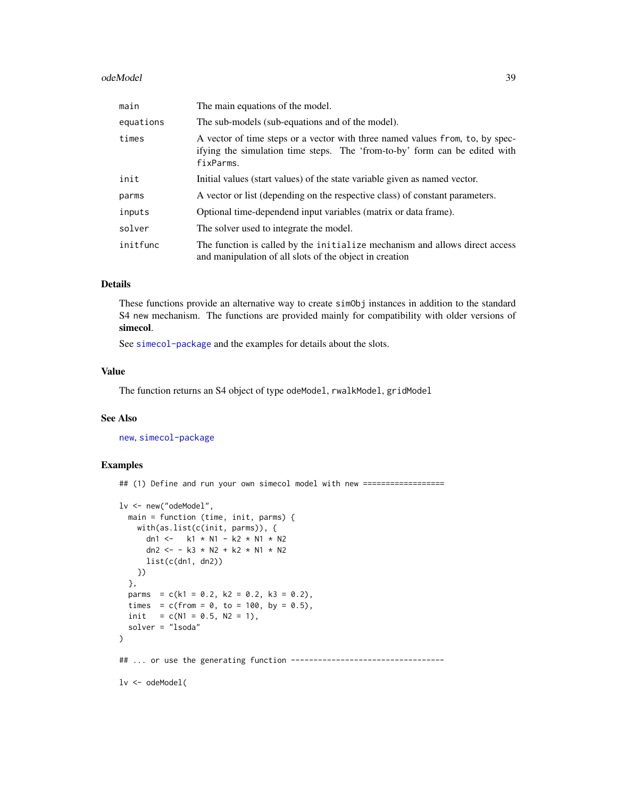#### <span id="page-38-0"></span>odeModel 39

| main      | The main equations of the model.                                                                                                                                          |
|-----------|---------------------------------------------------------------------------------------------------------------------------------------------------------------------------|
| equations | The sub-models (sub-equations and of the model).                                                                                                                          |
| times     | A vector of time steps or a vector with three named values from, to, by spec-<br>if ying the simulation time steps. The 'from-to-by' form can be edited with<br>fixParms. |
| init      | Initial values (start values) of the state variable given as named vector.                                                                                                |
| parms     | A vector or list (depending on the respective class) of constant parameters.                                                                                              |
| inputs    | Optional time-dependend input variables (matrix or data frame).                                                                                                           |
| solver    | The solver used to integrate the model.                                                                                                                                   |
| initfunc  | The function is called by the initialize mechanism and allows direct access<br>and manipulation of all slots of the object in creation                                    |

#### Details

These functions provide an alternative way to create simObj instances in addition to the standard S4 new mechanism. The functions are provided mainly for compatibility with older versions of simecol.

See [simecol-package](#page-1-1) and the examples for details about the slots.

# Value

The function returns an S4 object of type odeModel, rwalkModel, gridModel

#### See Also

[new](#page-0-0), [simecol-package](#page-1-1)

# Examples

## (1) Define and run your own simecol model with new ==================

```
lv <- new("odeModel",
 main = function (time, init, parms) {
   with(as.list(c(init, parms)), {
     dn1 <- k1 * N1 - k2 * N1 * N2
     dn2 <- - k3 * N2 + k2 * N1 * N2
     list(c(dn1, dn2))})
 },
 parms = c(k1 = 0.2, k2 = 0.2, k3 = 0.2),
 times = c(from = 0, to = 100, by = 0.5),
 init = c(N1 = 0.5, N2 = 1),
 solver = "lsoda"
)
## ... or use the generating function ----------------------------------
lv <- odeModel(
```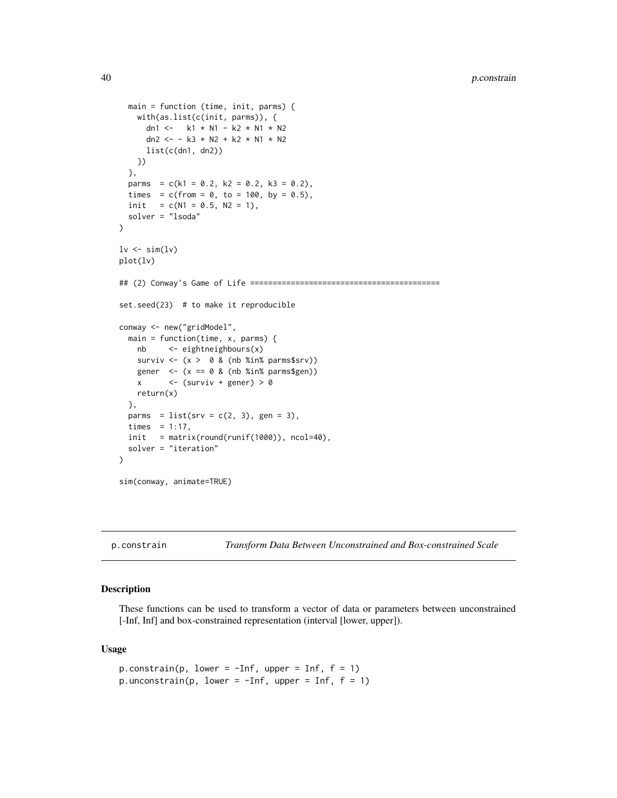```
main = function (time, init, parms) {
   with(as.list(c(init, parms)), {
      dn1 <- k1 * N1 - k2 * N1 * N2
      dn2 <- - k3 * N2 + k2 * N1 * N2
      list(c(dn1, dn2))
   })
  },
  parms = c(k1 = 0.2, k2 = 0.2, k3 = 0.2),
  times = c(from = 0, to = 100, by = 0.5),
  init = c(N1 = 0.5, N2 = 1),
  solver = "lsoda"
\mathcal{L}lv \leftarrow sim(lv)plot(lv)
## (2) Conway's Game of Life ==========================================
set.seed(23) # to make it reproducible
conway <- new("gridModel",
  main = function(time, x, parms) {
   nb <- eightneighbours(x)
    surviv \langle x \rangle 0 & (nb %in% parms$srv))
   gener \leq (x == 0 & (nb %in% parms$gen))
   x \leftarrow (surviv + gener) > 0
   return(x)
  },
  parms = list(srv = c(2, 3), gen = 3),
  times = 1:17,
  init = matrix(round(runif(1000)), ncol=40),solver = "iteration"
)
sim(conway, animate=TRUE)
```
<span id="page-39-1"></span>p.constrain *Transform Data Between Unconstrained and Box-constrained Scale*

#### Description

These functions can be used to transform a vector of data or parameters between unconstrained [-Inf, Inf] and box-constrained representation (interval [lower, upper]).

#### Usage

```
p.\text{constraint}(p, \text{ lower} = -\text{Inf}, \text{ upper} = \text{Inf}, f = 1)p.unconstrain(p, lower = -Inf, upper = Inf, f = 1)
```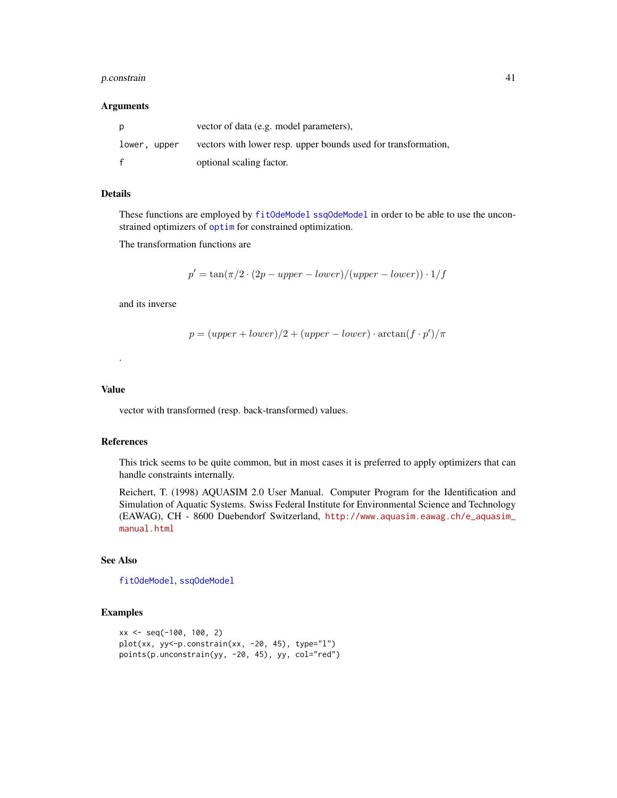#### <span id="page-40-0"></span>p.constrain 41

#### Arguments

| p            | vector of data (e.g. model parameters),                        |
|--------------|----------------------------------------------------------------|
| lower, upper | vectors with lower resp. upper bounds used for transformation, |
|              | optional scaling factor.                                       |

# Details

These functions are employed by [fitOdeModel](#page-16-1) [ssqOdeModel](#page-49-1) in order to be able to use the unconstrained optimizers of [optim](#page-0-0) for constrained optimization.

The transformation functions are

$$
p' = \tan(\pi/2 \cdot (2p - upper - lower)/(upper - lower)) \cdot 1/f
$$

and its inverse

$$
p = (upper + lower)/2 + (upper - lower) \cdot \arctan(f \cdot p')/\pi
$$

# Value

.

vector with transformed (resp. back-transformed) values.

#### References

This trick seems to be quite common, but in most cases it is preferred to apply optimizers that can handle constraints internally.

Reichert, T. (1998) AQUASIM 2.0 User Manual. Computer Program for the Identification and Simulation of Aquatic Systems. Swiss Federal Institute for Environmental Science and Technology (EAWAG), CH - 8600 Duebendorf Switzerland, [http://www.aquasim.eawag.ch/e\\_aquasim\\_](http://www.aquasim.eawag.ch/e_aquasim_manual.html) [manual.html](http://www.aquasim.eawag.ch/e_aquasim_manual.html)

# See Also

[fitOdeModel](#page-16-1), [ssqOdeModel](#page-49-1)

```
xx <- seq(-100, 100, 2)
plot(xx, yy<-p.constrain(xx, -20, 45), type="1"points(p.unconstrain(yy, -20, 45), yy, col="red")
```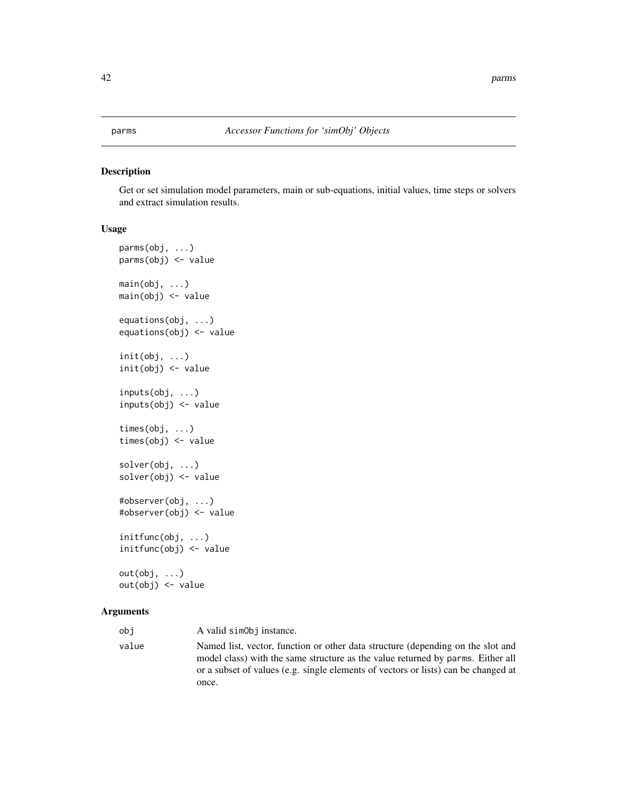# <span id="page-41-2"></span><span id="page-41-1"></span><span id="page-41-0"></span>Description

Get or set simulation model parameters, main or sub-equations, initial values, time steps or solvers and extract simulation results.

#### Usage

```
parms(obj, ...)
parms(obj) <- value
main(obj, ...)main(obj) <- value
equations(obj, ...)
equations(obj) <- value
init(obj, ...)
init(obj) <- value
inputs(obj, ...)
inputs(obj) <- value
times(obj, ...)
times(obj) <- value
solver(obj, ...)
solver(obj) <- value
#observer(obj, ...)
#observer(obj) <- value
initfunc(obj, ...)
initfunc(obj) <- value
out(obj, ...)
out(obj) <- value
```
#### Arguments

| obi   | A valid simoloj instance.                                                                                                                                                                                                                                |
|-------|----------------------------------------------------------------------------------------------------------------------------------------------------------------------------------------------------------------------------------------------------------|
| value | Named list, vector, function or other data structure (depending on the slot and<br>model class) with the same structure as the value returned by parms. Either all<br>or a subset of values (e.g. single elements of vectors or lists) can be changed at |
|       | once.                                                                                                                                                                                                                                                    |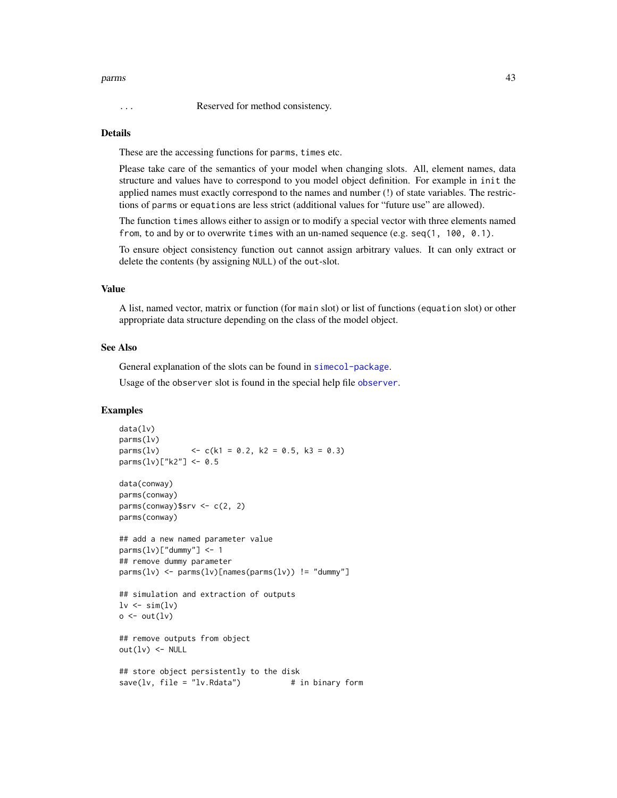#### <span id="page-42-0"></span>parms and the contract of the contract of the contract of the contract of the contract of the contract of the contract of the contract of the contract of the contract of the contract of the contract of the contract of the

#### Details

These are the accessing functions for parms, times etc.

Please take care of the semantics of your model when changing slots. All, element names, data structure and values have to correspond to you model object definition. For example in init the applied names must exactly correspond to the names and number (!) of state variables. The restrictions of parms or equations are less strict (additional values for "future use" are allowed).

The function times allows either to assign or to modify a special vector with three elements named from, to and by or to overwrite times with an un-named sequence (e.g.  $seq(1, 100, 0.1)$ .

To ensure object consistency function out cannot assign arbitrary values. It can only extract or delete the contents (by assigning NULL) of the out-slot.

#### Value

A list, named vector, matrix or function (for main slot) or list of functions (equation slot) or other appropriate data structure depending on the class of the model object.

#### See Also

General explanation of the slots can be found in [simecol-package](#page-1-1).

Usage of the observer slot is found in the special help file [observer](#page-35-1).

```
data(lv)
parms(lv)
parms(lv) \langle -c(k1 = 0.2, k2 = 0.5, k3 = 0.3)parms(1v)["k2"] < -0.5data(conway)
parms(conway)
parms(conway)$srv \leq c(2, 2)
parms(conway)
## add a new named parameter value
params(1v)["dummy"] < -1## remove dummy parameter
params(1v) \leftarrow parms(1v)[names(parms(1v))] = "dummy"## simulation and extraction of outputs
lv \leftarrow sim(lv)o \leftarrow out(1v)## remove outputs from object
out(1v) <- NULL
## store object persistently to the disk
save(1v, file = "lv.Rdata") # in binary form
```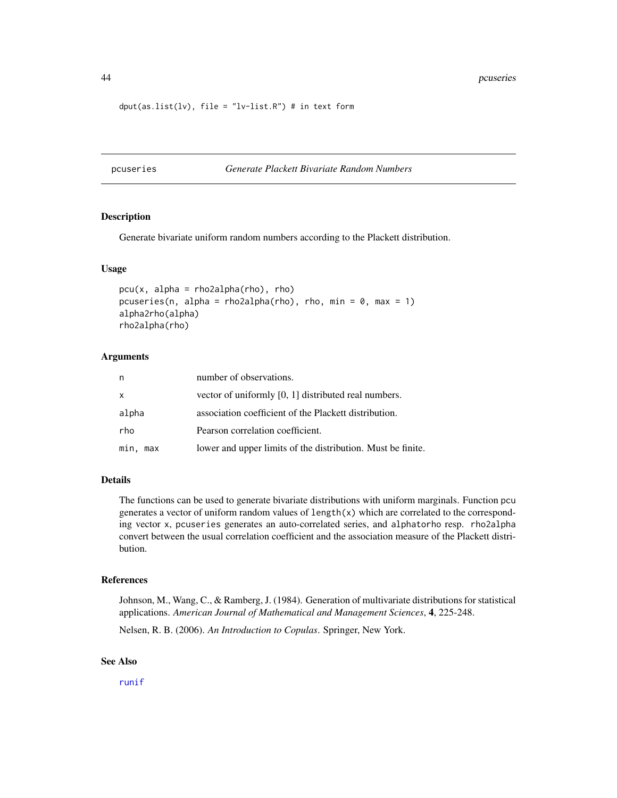<span id="page-43-0"></span>44 pcuseries

```
dput(as.list(lv), file = "lv-list.R") # in text form
```
pcuseries *Generate Plackett Bivariate Random Numbers*

# Description

Generate bivariate uniform random numbers according to the Plackett distribution.

#### Usage

```
pcu(x, alpha = rho2alpha(rho), rho)pcuseries(n, alpha = rho2alpha(rho), rho, min = 0, max = 1)
alpha2rho(alpha)
rho2alpha(rho)
```
#### Arguments

| n           | number of observations.                                     |
|-------------|-------------------------------------------------------------|
| X           | vector of uniformly [0, 1] distributed real numbers.        |
| alpha       | association coefficient of the Plackett distribution.       |
| rho         | Pearson correlation coefficient.                            |
| min,<br>max | lower and upper limits of the distribution. Must be finite. |

# Details

The functions can be used to generate bivariate distributions with uniform marginals. Function pcu generates a vector of uniform random values of  $length(x)$  which are correlated to the corresponding vector x, pcuseries generates an auto-correlated series, and alphatorho resp. rho2alpha convert between the usual correlation coefficient and the association measure of the Plackett distribution.

# References

Johnson, M., Wang, C., & Ramberg, J. (1984). Generation of multivariate distributions for statistical applications. *American Journal of Mathematical and Management Sciences*, 4, 225-248.

Nelsen, R. B. (2006). *An Introduction to Copulas*. Springer, New York.

### See Also

[runif](#page-0-0)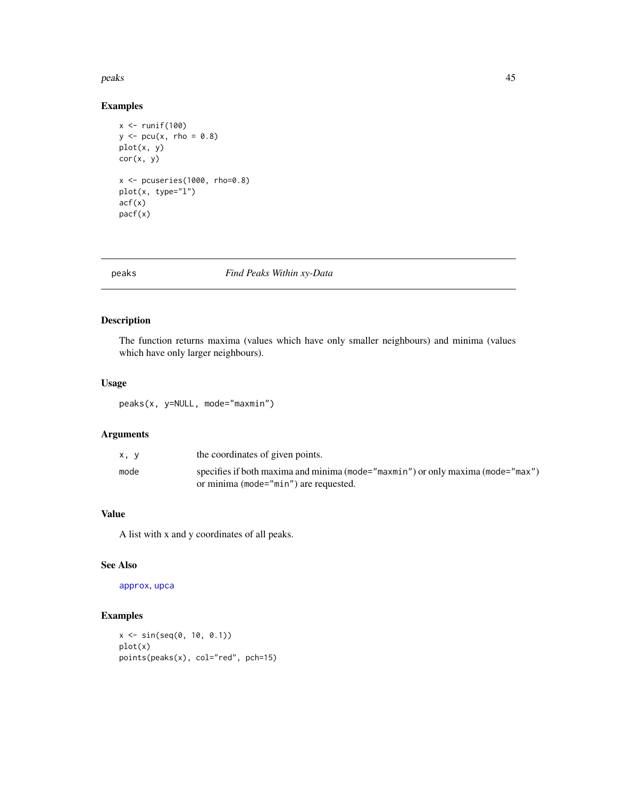#### <span id="page-44-0"></span>peaks 45

# Examples

```
x <- runif(100)
y \le -\text{pcu}(x, \text{rho} = 0.8)plot(x, y)
cor(x, y)
x \leftarrow pcuseries(1000, rho=0.8)
plot(x, type="l")
acf(x)
pacf(x)
```
#### peaks *Find Peaks Within xy-Data*

# Description

The function returns maxima (values which have only smaller neighbours) and minima (values which have only larger neighbours).

# Usage

peaks(x, y=NULL, mode="maxmin")

# Arguments

| x. v | the coordinates of given points.                                                                                         |
|------|--------------------------------------------------------------------------------------------------------------------------|
| mode | specifies if both maxima and minima (mode="maxmin") or only maxima (mode="max")<br>or minima (mode="min") are requested. |

# Value

A list with x and y coordinates of all peaks.

# See Also

[approx](#page-0-0), [upca](#page-51-1)

```
x <- sin(seq(0, 10, 0.1))
plot(x)
points(peaks(x), col="red", pch=15)
```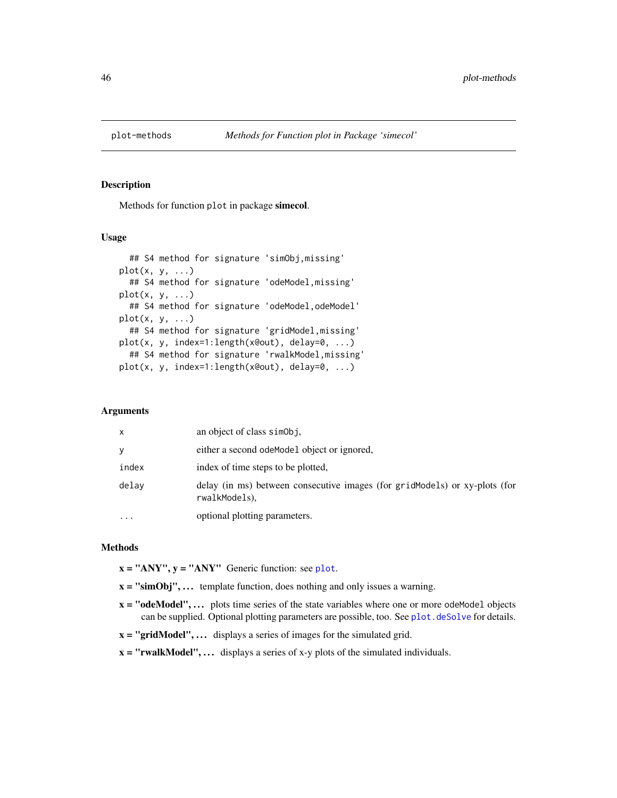<span id="page-45-0"></span>

#### Description

Methods for function plot in package simecol.

# Usage

```
## S4 method for signature 'simObj,missing'
plot(x, y, \ldots)## S4 method for signature 'odeModel,missing'
plot(x, y, \ldots)## S4 method for signature 'odeModel, odeModel'
plot(x, y, ...)## S4 method for signature 'gridModel,missing'
plot(x, y, index=1:length(x@out), delay=0, ...)
  ## S4 method for signature 'rwalkModel,missing'
plot(x, y, index=1:length(x@out), delay=0, ...)
```
### Arguments

| X     | an object of class simobj.                                                                  |
|-------|---------------------------------------------------------------------------------------------|
| y     | either a second odeModel object or ignored,                                                 |
| index | index of time steps to be plotted,                                                          |
| delay | delay (in ms) between consecutive images (for gridModels) or xy-plots (for<br>rwalkModels). |
|       | optional plotting parameters.                                                               |

#### Methods

 $x = "ANY", y = "ANY"$  Generic function: see [plot](#page-0-0).

- $x =$  "simObj",... template function, does nothing and only issues a warning.
- $x =$  "odeModel", ... plots time series of the state variables where one or more odeModel objects can be supplied. Optional plotting parameters are possible, too. See [plot.deSolve](#page-0-0) for details.
- $x = "gridModel", \ldots$  displays a series of images for the simulated grid.
- $x = "rwalkModel", \ldots$  displays a series of x-y plots of the simulated individuals.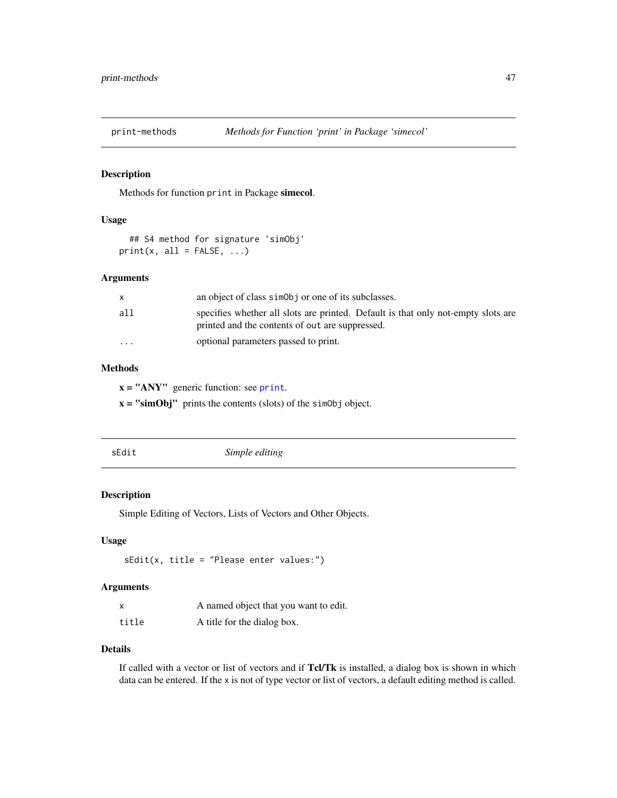<span id="page-46-0"></span>

# Description

Methods for function print in Package simecol.

# Usage

```
## S4 method for signature 'simObj'
print(x, all = FALSE, ...)
```
# Arguments

|                         | an object of class simologic or one of its subclasses.                                                                               |
|-------------------------|--------------------------------------------------------------------------------------------------------------------------------------|
| all                     | specifies whether all slots are printed. Default is that only not-empty slots are<br>printed and the contents of out are suppressed. |
| $\cdot$ $\cdot$ $\cdot$ | optional parameters passed to print.                                                                                                 |

# Methods

 $x = "ANY"$  generic function: see [print](#page-0-0).

 $x =$  "simObj" prints the contents (slots) of the simObj object.

<span id="page-46-1"></span>

| sEdit<br>Simple editing |  |
|-------------------------|--|
|-------------------------|--|

# Description

Simple Editing of Vectors, Lists of Vectors and Other Objects.

# Usage

sEdit(x, title = "Please enter values:")

# Arguments

| X     | A named object that you want to edit. |
|-------|---------------------------------------|
| title | A title for the dialog box.           |

### Details

If called with a vector or list of vectors and if Tcl/Tk is installed, a dialog box is shown in which data can be entered. If the x is not of type vector or list of vectors, a default editing method is called.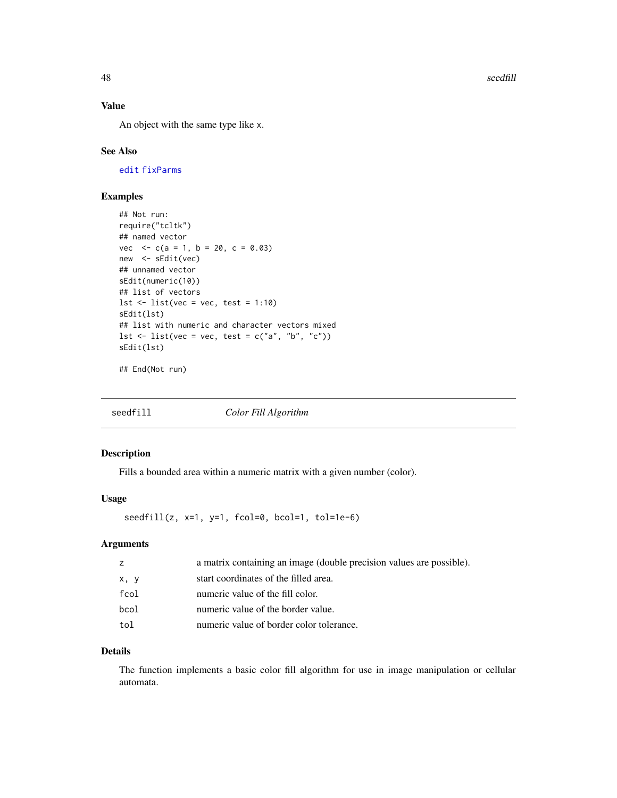<span id="page-47-0"></span>48 seedfill

# Value

An object with the same type like x.

#### See Also

[edit](#page-0-0) [fixParms](#page-20-1)

# Examples

```
## Not run:
require("tcltk")
## named vector
vec \langle -c(a = 1, b = 20, c = 0.03) \ranglenew <- sEdit(vec)
## unnamed vector
sEdit(numeric(10))
## list of vectors
lst \le list(vec = vec, test = 1:10)
sEdit(lst)
## list with numeric and character vectors mixed
lst \leftarrow list(vec = vec, test = c("a", "b", "c"))
sEdit(lst)
```
## End(Not run)

<span id="page-47-1"></span>

# Description

Fills a bounded area within a numeric matrix with a given number (color).

# Usage

seedfill(z,  $x=1$ ,  $y=1$ , fcol=0, bcol=1, tol=1e-6)

# Arguments

| z    | a matrix containing an image (double precision values are possible). |
|------|----------------------------------------------------------------------|
| x, y | start coordinates of the filled area.                                |
| fcol | numeric value of the fill color.                                     |
| bcol | numeric value of the border value.                                   |
| tol  | numeric value of border color tolerance.                             |

# Details

The function implements a basic color fill algorithm for use in image manipulation or cellular automata.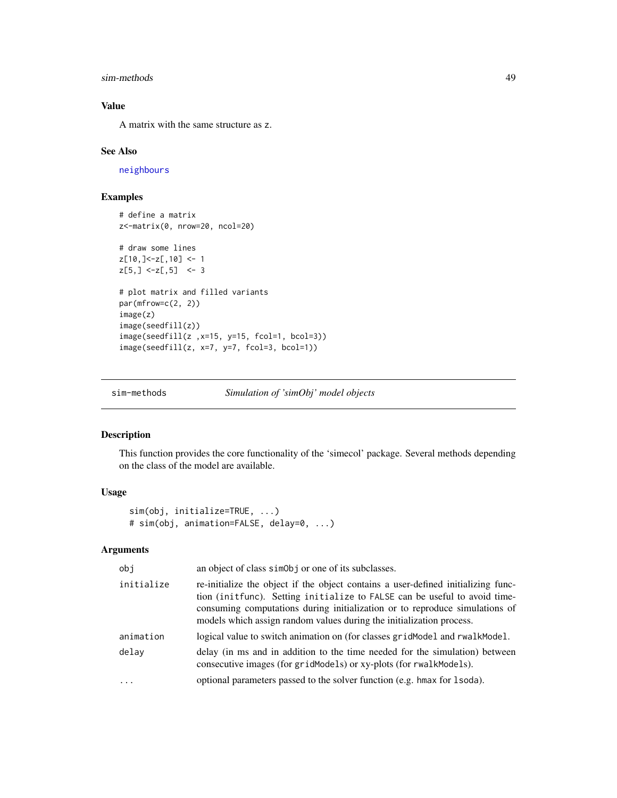#### <span id="page-48-0"></span>sim-methods 49

# Value

A matrix with the same structure as z.

#### See Also

[neighbours](#page-32-1)

# Examples

```
# define a matrix
z<-matrix(0, nrow=20, ncol=20)
# draw some lines
z[10,]<-z[,10] <- 1
z[5,] <-z[,5] <- 3
# plot matrix and filled variants
par(mfrow=c(2, 2))
image(z)
image(seedfill(z))
image(seedfill(z ,x=15, y=15, fcol=1, bcol=3))
image(seedfill(z, x=7, y=7, fcol=3, bcol=1))
```

```
sim-methods Simulation of 'simObj' model objects
```
#### <span id="page-48-1"></span>Description

This function provides the core functionality of the 'simecol' package. Several methods depending on the class of the model are available.

# Usage

```
sim(obj, initialize=TRUE, ...)
# sim(obj, animation=FALSE, delay=0, ...)
```
# Arguments

| obi        | an object of class simoloj or one of its subclasses.                                                                                                                                                                                                                                                                  |
|------------|-----------------------------------------------------------------------------------------------------------------------------------------------------------------------------------------------------------------------------------------------------------------------------------------------------------------------|
| initialize | re-initialize the object if the object contains a user-defined initializing func-<br>tion (initfunc). Setting initialize to FALSE can be useful to avoid time-<br>consuming computations during initialization or to reproduce simulations of<br>models which assign random values during the initialization process. |
| animation  | logical value to switch animation on (for classes grid Model and rwalk Model.                                                                                                                                                                                                                                         |
| delay      | delay (in ms and in addition to the time needed for the simulation) between<br>consecutive images (for gridModels) or xy-plots (for rwalkModels).                                                                                                                                                                     |
| $\ddots$   | optional parameters passed to the solver function (e.g. hmax for 1 soda).                                                                                                                                                                                                                                             |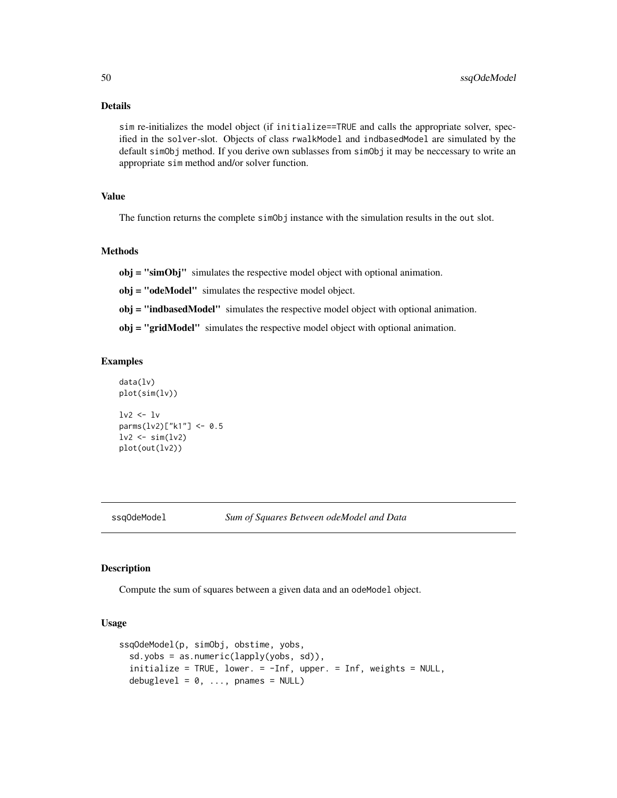# <span id="page-49-0"></span>Details

sim re-initializes the model object (if initialize==TRUE and calls the appropriate solver, specified in the solver-slot. Objects of class rwalkModel and indbasedModel are simulated by the default simObj method. If you derive own sublasses from simObj it may be neccessary to write an appropriate sim method and/or solver function.

#### Value

The function returns the complete simObj instance with the simulation results in the out slot.

## Methods

obj = "simObj" simulates the respective model object with optional animation.

obj = "odeModel" simulates the respective model object.

obj = "indbasedModel" simulates the respective model object with optional animation.

obj = "gridModel" simulates the respective model object with optional animation.

#### Examples

```
data(lv)
plot(sim(lv))
lv2 < -lvparms(lv2)["k1"] <- 0.5
lv2 < -sim(lv2)plot(out(lv2))
```
<span id="page-49-1"></span>

ssqOdeModel *Sum of Squares Between odeModel and Data*

#### Description

Compute the sum of squares between a given data and an odeModel object.

#### Usage

```
ssqOdeModel(p, simObj, obstime, yobs,
  sd.yobs = as.numeric(lapply(yobs, sd)),
  initialize = TRUE, lower. = -Inf, upper. = Inf, weights = NULL,
  debuglevel = 0, \ldots, pnames = NULL)
```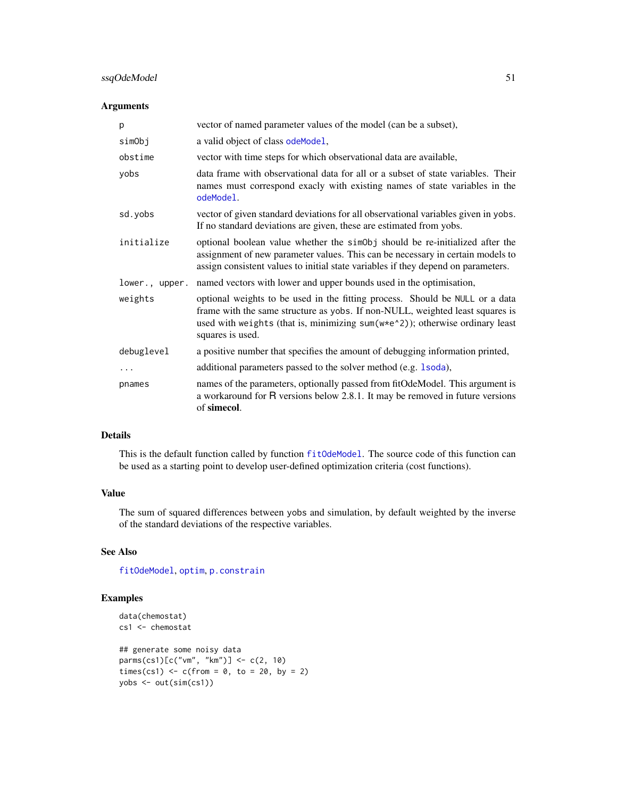# <span id="page-50-0"></span>ssqOdeModel 51

# Arguments

| p              | vector of named parameter values of the model (can be a subset),                                                                                                                                                                                                  |
|----------------|-------------------------------------------------------------------------------------------------------------------------------------------------------------------------------------------------------------------------------------------------------------------|
| simObj         | a valid object of class odeModel,                                                                                                                                                                                                                                 |
| obstime        | vector with time steps for which observational data are available,                                                                                                                                                                                                |
| yobs           | data frame with observational data for all or a subset of state variables. Their<br>names must correspond exacly with existing names of state variables in the<br>odeModel.                                                                                       |
| sd.yobs        | vector of given standard deviations for all observational variables given in yobs.<br>If no standard deviations are given, these are estimated from yobs.                                                                                                         |
| initialize     | optional boolean value whether the simoloj should be re-initialized after the<br>assignment of new parameter values. This can be necessary in certain models to<br>assign consistent values to initial state variables if they depend on parameters.              |
| lower., upper. | named vectors with lower and upper bounds used in the optimisation,                                                                                                                                                                                               |
| weights        | optional weights to be used in the fitting process. Should be NULL or a data<br>frame with the same structure as yobs. If non-NULL, weighted least squares is<br>used with weights (that is, minimizing sum(w*e^2)); otherwise ordinary least<br>squares is used. |
| debuglevel     | a positive number that specifies the amount of debugging information printed,                                                                                                                                                                                     |
| .              | additional parameters passed to the solver method (e.g. 1soda),                                                                                                                                                                                                   |
| pnames         | names of the parameters, optionally passed from fitOdeModel. This argument is<br>a workaround for R versions below 2.8.1. It may be removed in future versions<br>of simecol.                                                                                     |

# Details

This is the default function called by function [fitOdeModel](#page-16-1). The source code of this function can be used as a starting point to develop user-defined optimization criteria (cost functions).

# Value

The sum of squared differences between yobs and simulation, by default weighted by the inverse of the standard deviations of the respective variables.

# See Also

[fitOdeModel](#page-16-1), [optim](#page-0-0), [p.constrain](#page-39-1)

```
data(chemostat)
cs1 <- chemostat
## generate some noisy data
parms(cs1)[c("vm", "km")] <- c(2, 10)
times(cs1) \leq c(from = 0, to = 20, by = 2)
yobs <- out(sim(cs1))
```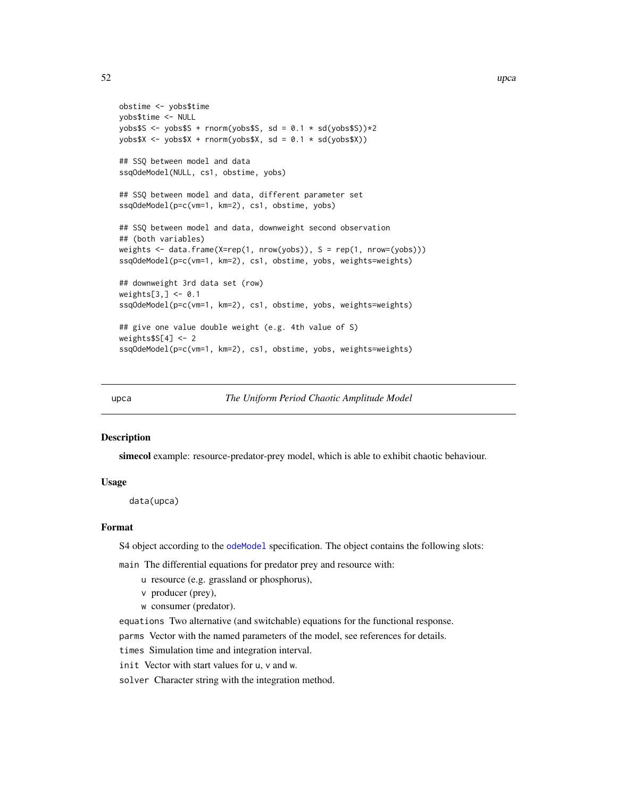```
obstime <- yobs$time
yobs$time <- NULL
yobs$S <- yobs$S + rnorm(yobs$S, sd = 0.1 * sd(yobs$S))*2yobs$X <- yobs$X + rnorm(yobs$X, sd = 0.1 \times sd(yobs$X))## SSQ between model and data
ssqOdeModel(NULL, cs1, obstime, yobs)
## SSQ between model and data, different parameter set
ssqOdeModel(p=c(vm=1, km=2), cs1, obstime, yobs)
## SSQ between model and data, downweight second observation
## (both variables)
weights <- data.frame(X=rep(1, nrow(yobs)), S = rep(1, nrow=(yobs)))
ssqOdeModel(p=c(vm=1, km=2), cs1, obstime, yobs, weights=weights)
## downweight 3rd data set (row)
weights[3,] <- 0.1
ssqOdeModel(p=c(vm=1, km=2), cs1, obstime, yobs, weights=weights)
## give one value double weight (e.g. 4th value of S)
weights$S[4] <- 2
ssqOdeModel(p=c(vm=1, km=2), cs1, obstime, yobs, weights=weights)
```
<span id="page-51-1"></span>upca *The Uniform Period Chaotic Amplitude Model*

#### Description

simecol example: resource-predator-prey model, which is able to exhibit chaotic behaviour.

#### Usage

data(upca)

#### Format

S4 object according to the [odeModel](#page-37-1) specification. The object contains the following slots:

main The differential equations for predator prey and resource with:

- u resource (e.g. grassland or phosphorus),
- v producer (prey),
- w consumer (predator).

equations Two alternative (and switchable) equations for the functional response.

parms Vector with the named parameters of the model, see references for details.

times Simulation time and integration interval.

init Vector with start values for u, v and w.

solver Character string with the integration method.

<span id="page-51-0"></span>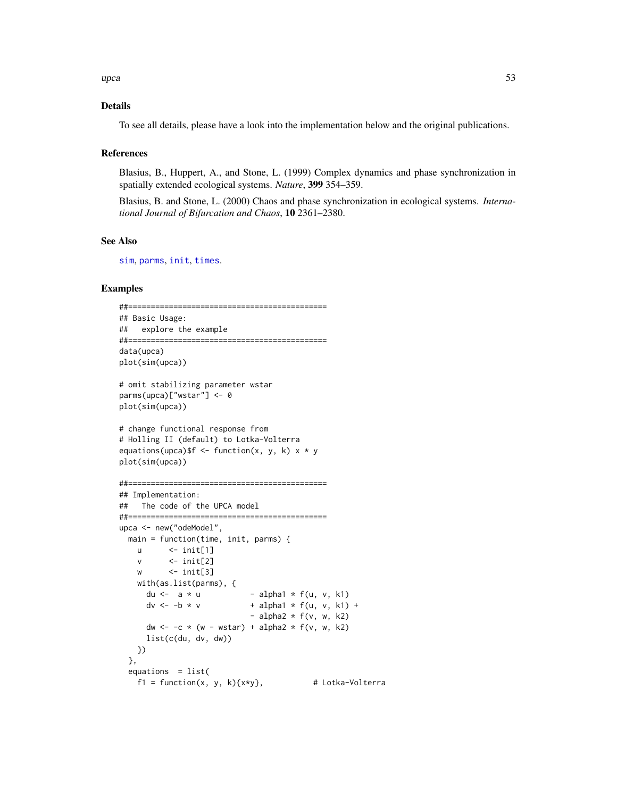<span id="page-52-0"></span> $\mu$ pca 53

### Details

To see all details, please have a look into the implementation below and the original publications.

#### References

Blasius, B., Huppert, A., and Stone, L. (1999) Complex dynamics and phase synchronization in spatially extended ecological systems. *Nature*, 399 354–359.

Blasius, B. and Stone, L. (2000) Chaos and phase synchronization in ecological systems. *International Journal of Bifurcation and Chaos*, 10 2361–2380.

#### See Also

[sim](#page-48-1), [parms](#page-41-1), [init](#page-41-2), [times](#page-41-2).

```
##============================================
## Basic Usage:
## explore the example
##============================================
data(upca)
plot(sim(upca))
# omit stabilizing parameter wstar
parms(upca)["wstar"] <- 0
plot(sim(upca))
# change functional response from
# Holling II (default) to Lotka-Volterra
equations(upca)$f <- function(x, y, k) x * yplot(sim(upca))
##============================================
## Implementation:
## The code of the UPCA model
##============================================
upca <- new("odeModel",
  main = function(time, init, parms) {
   u \leq -\text{init}[1]v \leftarrow init[2]w \leftarrow init[3]with(as.list(parms), {<br>du <- a * u- alpha1 * f(u, v, k1)
      dv \le -b * v + alpha1 * f(u, v, k1) +
                            - alpha2 * f(v, w, k2)
      dw \le -c \times (w - wstar) + alpha2 \times f(v, w, k2)list(c(du, dv, dw))
   })
  },
  equations = list(f1 = function(x, y, k){x*y}, # Lotka-Volterra
```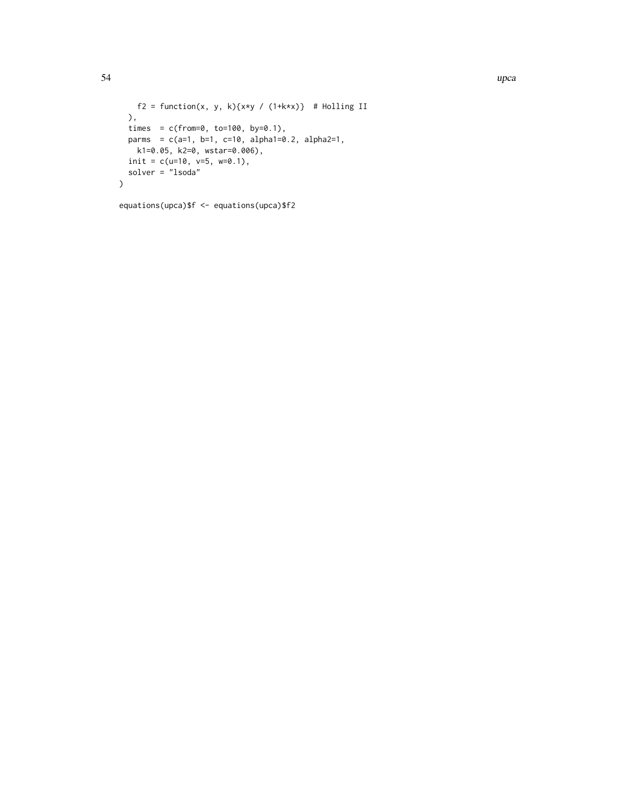```
f2 = function(x, y, k){x*y / (1+k*x)} # Holling II
 ),
 times = c(from=0, to=100, by=0.1),
 parms = c(a=1, b=1, c=10, alpha1=0.2, alpha2=1,k1=0.05, k2=0, wstar=0.006),
 init = c(u=10, v=5, w=0.1),solver = "lsoda"
)
```

```
equations(upca)$f <- equations(upca)$f2
```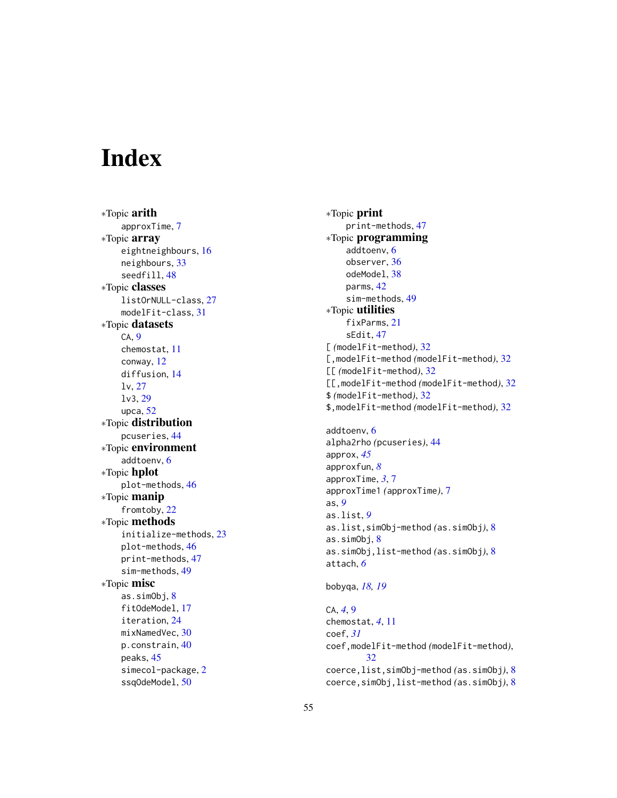# <span id="page-54-0"></span>Index

∗Topic arith approxTime , [7](#page-6-0) ∗Topic array eightneighbours , [16](#page-15-0) neighbours , [33](#page-32-0) seedfill , [48](#page-47-0) ∗Topic classes listOrNULL-class , [27](#page-26-0) modelFit-class , [31](#page-30-0) ∗Topic datasets CA , [9](#page-8-0) chemostat , [11](#page-10-0) conway , [12](#page-11-0) diffusion , [14](#page-13-0) lv , [27](#page-26-0) lv3 , [29](#page-28-0) upca , [52](#page-51-0) ∗Topic distribution pcuseries , [44](#page-43-0) ∗Topic environment addtoenv , [6](#page-5-0) ∗Topic hplot plot-methods , [46](#page-45-0) ∗Topic manip fromtoby , [22](#page-21-0) ∗Topic methods initialize-methods , [23](#page-22-0) plot-methods , [46](#page-45-0) print-methods , [47](#page-46-0) sim-methods , [49](#page-48-0) ∗Topic misc as.simObj, [8](#page-7-0) fitOdeModel , [17](#page-16-0) iteration , [24](#page-23-0) mixNamedVec, [30](#page-29-0) p.constrain, [40](#page-39-0) peaks , [45](#page-44-0) simecol-package , [2](#page-1-0) ssqOdeModel , [50](#page-49-0)

∗Topic print print-methods , [47](#page-46-0) ∗Topic programming addtoenv , [6](#page-5-0) observer , [36](#page-35-0) odeModel , [38](#page-37-0) parms , [42](#page-41-0) sim-methods , [49](#page-48-0) ∗Topic utilities fixParms , [21](#page-20-0) sEdit , [47](#page-46-0) [ *(*modelFit-method *)* , [32](#page-31-0) [,modelFit-method *(*modelFit-method *)* , [32](#page-31-0) [[ *(*modelFit-method *)* , [32](#page-31-0) [[,modelFit-method *(*modelFit-method *)* , [32](#page-31-0) \$ *(*modelFit-method *)* , [32](#page-31-0) \$,modelFit-method *(*modelFit-method *)* , [32](#page-31-0)

addtoenv , [6](#page-5-0) alpha2rho *(*pcuseries *)* , [44](#page-43-0) approx , *[45](#page-44-0)* approxfun , *[8](#page-7-0)* approxTime , *[3](#page-2-0)* , [7](#page-6-0) approxTime1 *(*approxTime *)* , [7](#page-6-0) as , *[9](#page-8-0)* as.list , *[9](#page-8-0)* as.list,simObj-method *(*as.simObj *)* , [8](#page-7-0) as.simObj, <mark>[8](#page-7-0)</mark> as.simObj,list-method *(*as.simObj *)* , [8](#page-7-0) attach , *[6](#page-5-0)*

#### bobyqa , *[18](#page-17-0) , [19](#page-18-0)*

CA , *[4](#page-3-0)* , [9](#page-8-0) chemostat , *[4](#page-3-0)* , [11](#page-10-0) coef , *[31](#page-30-0)* coef,modelFit-method *(*modelFit-method *)* , [32](#page-31-0) coerce,list,simObj-method *(*as.simObj *)* , [8](#page-7-0) coerce,simObj,list-method *(*as.simObj *)* , [8](#page-7-0)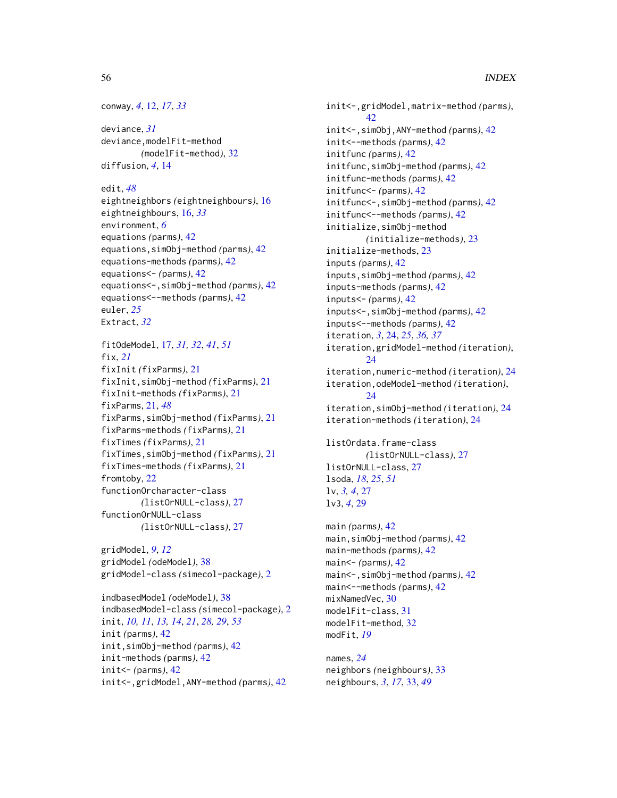```
conway, 4, 12, 17, 33
```
deviance, *[31](#page-30-0)* deviance,modelFit-method *(*modelFit-method*)*, [32](#page-31-0) diffusion, *[4](#page-3-0)*, [14](#page-13-0)

edit, *[48](#page-47-0)* eightneighbors *(*eightneighbours*)*, [16](#page-15-0) eightneighbours, [16,](#page-15-0) *[33](#page-32-0)* environment, *[6](#page-5-0)* equations *(*parms*)*, [42](#page-41-0) equations,simObj-method *(*parms*)*, [42](#page-41-0) equations-methods *(*parms*)*, [42](#page-41-0) equations<- *(*parms*)*, [42](#page-41-0) equations<-,simObj-method *(*parms*)*, [42](#page-41-0) equations<--methods *(*parms*)*, [42](#page-41-0) euler, *[25](#page-24-0)* Extract, *[32](#page-31-0)*

```
fitOdeModel, 17, 31, 32, 41, 51
fix, 21
fixInit (fixParms), 21
fixInit,simObj-method (fixParms), 21
fixInit-methods (fixParms), 21
fixParms, 21, 48
fixParms,simObj-method (fixParms), 21
fixParms-methods (fixParms), 21
fixTimes (fixParms), 21
fixTimes,simObj-method (fixParms), 21
fixTimes-methods (fixParms), 21
fromtoby, 22
functionOrcharacter-class
        (listOrNULL-class), 27
functionOrNULL-class
        (listOrNULL-class), 27
```
gridModel, *[9](#page-8-0)*, *[12](#page-11-0)* gridModel *(*odeModel*)*, [38](#page-37-0) gridModel-class *(*simecol-package*)*, [2](#page-1-0)

indbasedModel *(*odeModel*)*, [38](#page-37-0) indbasedModel-class *(*simecol-package*)*, [2](#page-1-0) init, *[10,](#page-9-0) [11](#page-10-0)*, *[13,](#page-12-0) [14](#page-13-0)*, *[21](#page-20-0)*, *[28,](#page-27-0) [29](#page-28-0)*, *[53](#page-52-0)* init *(*parms*)*, [42](#page-41-0) init,simObj-method *(*parms*)*, [42](#page-41-0) init-methods *(*parms*)*, [42](#page-41-0) init<- *(*parms*)*, [42](#page-41-0) init<-,gridModel,ANY-method *(*parms*)*, [42](#page-41-0)

init<-,gridModel,matrix-method *(*parms*)*, [42](#page-41-0) init<-,simObj,ANY-method *(*parms*)*, [42](#page-41-0) init<--methods *(*parms*)*, [42](#page-41-0) initfunc *(*parms*)*, [42](#page-41-0) initfunc,simObj-method *(*parms*)*, [42](#page-41-0) initfunc-methods *(*parms*)*, [42](#page-41-0) initfunc<- *(*parms*)*, [42](#page-41-0) initfunc<-,simObj-method *(*parms*)*, [42](#page-41-0) initfunc<--methods *(*parms*)*, [42](#page-41-0) initialize,simObj-method *(*initialize-methods*)*, [23](#page-22-0) initialize-methods, [23](#page-22-0) inputs *(*parms*)*, [42](#page-41-0) inputs,simObj-method *(*parms*)*, [42](#page-41-0) inputs-methods *(*parms*)*, [42](#page-41-0) inputs<- *(*parms*)*, [42](#page-41-0) inputs<-,simObj-method *(*parms*)*, [42](#page-41-0) inputs<--methods *(*parms*)*, [42](#page-41-0) iteration, *[3](#page-2-0)*, [24,](#page-23-0) *[25](#page-24-0)*, *[36,](#page-35-0) [37](#page-36-0)* iteration,gridModel-method *(*iteration*)*,  $24$ iteration,numeric-method *(*iteration*)*, [24](#page-23-0) iteration,odeModel-method *(*iteration*)*, [24](#page-23-0) iteration,simObj-method *(*iteration*)*, [24](#page-23-0) iteration-methods *(*iteration*)*, [24](#page-23-0) listOrdata.frame-class *(*listOrNULL-class*)*, [27](#page-26-0) listOrNULL-class, [27](#page-26-0)

lsoda, *[18](#page-17-0)*, *[25](#page-24-0)*, *[51](#page-50-0)* lv, *[3,](#page-2-0) [4](#page-3-0)*, [27](#page-26-0) lv3, *[4](#page-3-0)*, [29](#page-28-0)

main *(*parms*)*, [42](#page-41-0) main,simObj-method *(*parms*)*, [42](#page-41-0) main-methods *(*parms*)*, [42](#page-41-0) main<- *(*parms*)*, [42](#page-41-0) main<-,simObj-method *(*parms*)*, [42](#page-41-0) main<--methods *(*parms*)*, [42](#page-41-0) mixNamedVec, [30](#page-29-0) modelFit-class, [31](#page-30-0) modelFit-method, [32](#page-31-0) modFit, *[19](#page-18-0)*

names, *[24](#page-23-0)* neighbors *(*neighbours*)*, [33](#page-32-0) neighbours, *[3](#page-2-0)*, *[17](#page-16-0)*, [33,](#page-32-0) *[49](#page-48-0)*